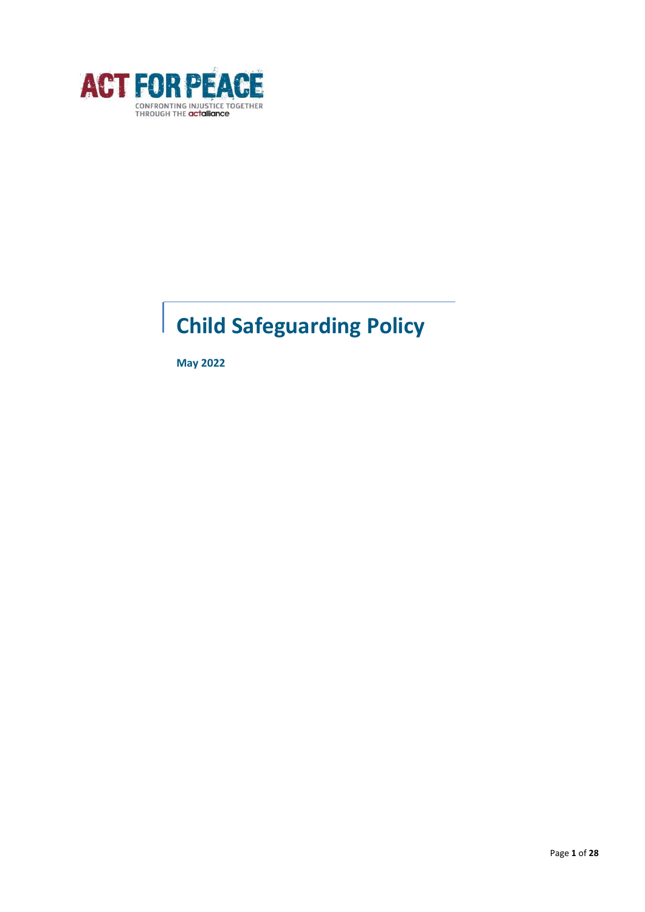

# **Child Safeguarding Policy**

**May 2022**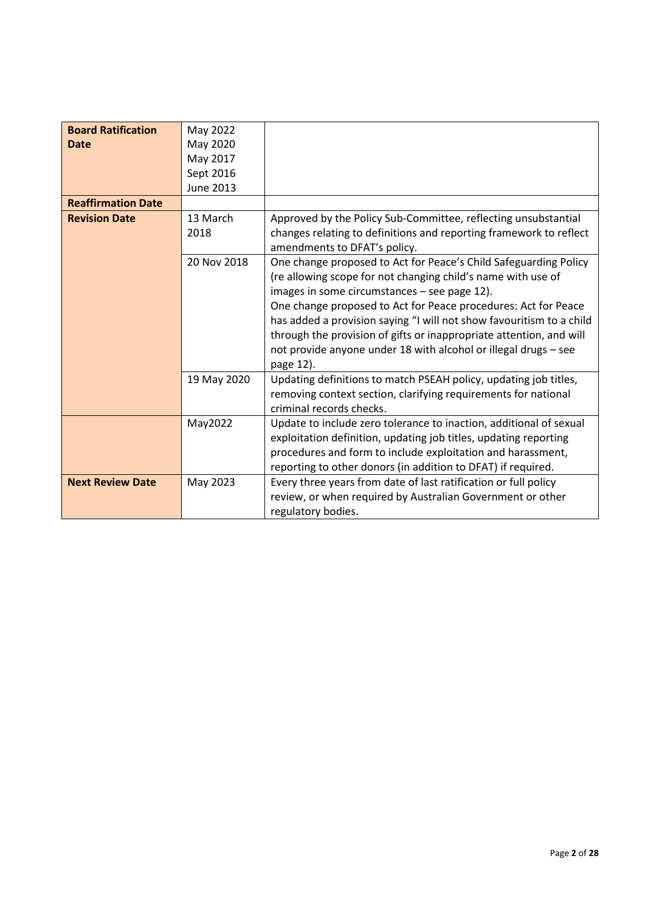| <b>Board Ratification</b> | May 2022         |                                                                                                                                                                                                                                                                                                                                                                                                                                                                                   |
|---------------------------|------------------|-----------------------------------------------------------------------------------------------------------------------------------------------------------------------------------------------------------------------------------------------------------------------------------------------------------------------------------------------------------------------------------------------------------------------------------------------------------------------------------|
| <b>Date</b>               | May 2020         |                                                                                                                                                                                                                                                                                                                                                                                                                                                                                   |
|                           | May 2017         |                                                                                                                                                                                                                                                                                                                                                                                                                                                                                   |
|                           | Sept 2016        |                                                                                                                                                                                                                                                                                                                                                                                                                                                                                   |
|                           | <b>June 2013</b> |                                                                                                                                                                                                                                                                                                                                                                                                                                                                                   |
| <b>Reaffirmation Date</b> |                  |                                                                                                                                                                                                                                                                                                                                                                                                                                                                                   |
| <b>Revision Date</b>      | 13 March<br>2018 | Approved by the Policy Sub-Committee, reflecting unsubstantial<br>changes relating to definitions and reporting framework to reflect<br>amendments to DFAT's policy.                                                                                                                                                                                                                                                                                                              |
|                           | 20 Nov 2018      | One change proposed to Act for Peace's Child Safeguarding Policy<br>(re allowing scope for not changing child's name with use of<br>images in some circumstances - see page 12).<br>One change proposed to Act for Peace procedures: Act for Peace<br>has added a provision saying "I will not show favouritism to a child<br>through the provision of gifts or inappropriate attention, and will<br>not provide anyone under 18 with alcohol or illegal drugs - see<br>page 12). |
|                           | 19 May 2020      | Updating definitions to match PSEAH policy, updating job titles,<br>removing context section, clarifying requirements for national<br>criminal records checks.                                                                                                                                                                                                                                                                                                                    |
|                           | May2022          | Update to include zero tolerance to inaction, additional of sexual<br>exploitation definition, updating job titles, updating reporting<br>procedures and form to include exploitation and harassment,<br>reporting to other donors (in addition to DFAT) if required.                                                                                                                                                                                                             |
| <b>Next Review Date</b>   | May 2023         | Every three years from date of last ratification or full policy<br>review, or when required by Australian Government or other<br>regulatory bodies.                                                                                                                                                                                                                                                                                                                               |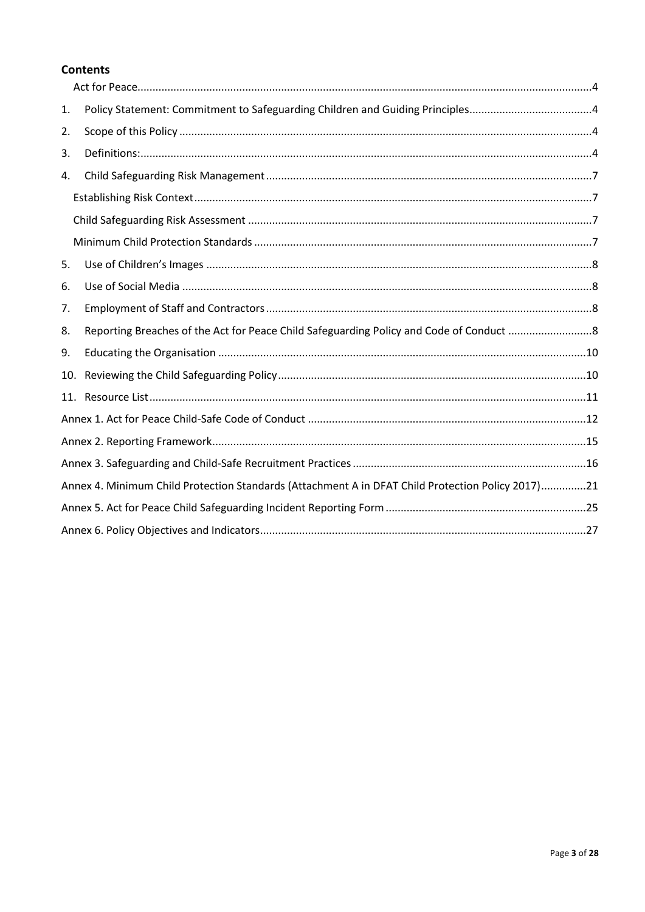## **Contents**

| 1.  |                                                                                                   |  |
|-----|---------------------------------------------------------------------------------------------------|--|
| 2.  |                                                                                                   |  |
| 3.  |                                                                                                   |  |
| 4.  |                                                                                                   |  |
|     |                                                                                                   |  |
|     |                                                                                                   |  |
|     |                                                                                                   |  |
| 5.  |                                                                                                   |  |
| 6.  |                                                                                                   |  |
| 7.  |                                                                                                   |  |
| 8.  |                                                                                                   |  |
| 9.  |                                                                                                   |  |
| 10. |                                                                                                   |  |
| 11. |                                                                                                   |  |
|     |                                                                                                   |  |
|     |                                                                                                   |  |
|     |                                                                                                   |  |
|     | Annex 4. Minimum Child Protection Standards (Attachment A in DFAT Child Protection Policy 2017)21 |  |
|     |                                                                                                   |  |
|     |                                                                                                   |  |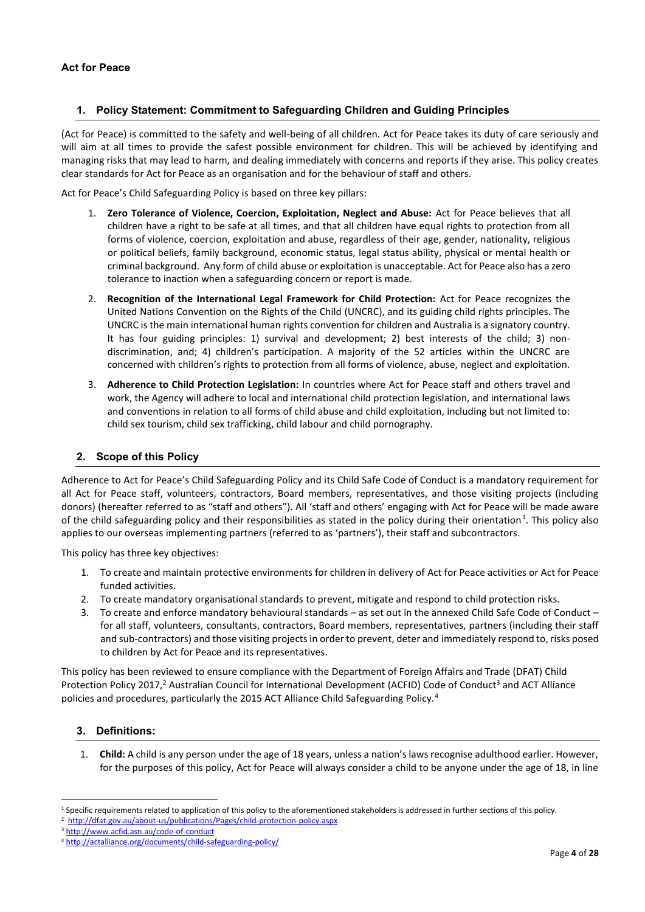## <span id="page-3-1"></span><span id="page-3-0"></span>**1. Policy Statement: Commitment to Safeguarding Children and Guiding Principles**

(Act for Peace) is committed to the safety and well-being of all children. Act for Peace takes its duty of care seriously and will aim at all times to provide the safest possible environment for children. This will be achieved by identifying and managing risks that may lead to harm, and dealing immediately with concerns and reports if they arise. This policy creates clear standards for Act for Peace as an organisation and for the behaviour of staff and others.

Act for Peace's Child Safeguarding Policy is based on three key pillars:

- 1. **Zero Tolerance of Violence, Coercion, Exploitation, Neglect and Abuse:** Act for Peace believes that all children have a right to be safe at all times, and that all children have equal rights to protection from all forms of violence, coercion, exploitation and abuse, regardless of their age, gender, nationality, religious or political beliefs, family background, economic status, legal status ability, physical or mental health or criminal background. Any form of child abuse or exploitation is unacceptable. Act for Peace also has a zero tolerance to inaction when a safeguarding concern or report is made.
- 2. **Recognition of the International Legal Framework for Child Protection:** Act for Peace recognizes the United Nations Convention on the Rights of the Child (UNCRC), and its guiding child rights principles. The UNCRC is the main international human rights convention for children and Australia is a signatory country. It has four guiding principles: 1) survival and development; 2) best interests of the child; 3) nondiscrimination, and; 4) children's participation. A majority of the 52 articles within the UNCRC are concerned with children's rights to protection from all forms of violence, abuse, neglect and exploitation.
- 3. **Adherence to Child Protection Legislation:** In countries where Act for Peace staff and others travel and work, the Agency will adhere to local and international child protection legislation, and international laws and conventions in relation to all forms of child abuse and child exploitation, including but not limited to: child sex tourism, child sex trafficking, child labour and child pornography.

#### <span id="page-3-2"></span>**2. Scope of this Policy**

Adherence to Act for Peace's Child Safeguarding Policy and its Child Safe Code of Conduct is a mandatory requirement for all Act for Peace staff, volunteers, contractors, Board members, representatives, and those visiting projects (including donors) (hereafter referred to as "staff and others"). All 'staff and others' engaging with Act for Peace will be made aware of the child safeguarding policy and their responsibilities as stated in the policy during their orientation<sup>1</sup>. This policy also applies to our overseas implementing partners (referred to as 'partners'), their staff and subcontractors.

This policy has three key objectives:

- 1. To create and maintain protective environments for children in delivery of Act for Peace activities or Act for Peace funded activities.
- 2. To create mandatory organisational standards to prevent, mitigate and respond to child protection risks.
- 3. To create and enforce mandatory behavioural standards as set out in the annexed Child Safe Code of Conduct for all staff, volunteers, consultants, contractors, Board members, representatives, partners (including their staff and sub-contractors) and those visiting projects in order to prevent, deter and immediately respond to, risks posed to children by Act for Peace and its representatives.

This policy has been reviewed to ensure compliance with the Department of Foreign Affairs and Trade (DFAT) Child Protection Policy 2017,<sup>2</sup> Australian Council for International Development (ACFID) Code of Conduct<sup>3</sup> and ACT Alliance policies and procedures, particularly the 2015 ACT Alliance Child Safeguarding Policy.<sup>4</sup>

#### <span id="page-3-3"></span>**3. Definitions:**

1. **Child:** A child is any person under the age of 18 years, unless a nation's laws recognise adulthood earlier. However, for the purposes of this policy, Act for Peace will always consider a child to be anyone under the age of 18, in line

<sup>&</sup>lt;sup>1</sup> Specific requirements related to application of this policy to the aforementioned stakeholders is addressed in further sections of this policy.

<sup>&</sup>lt;sup>2</sup> http://dfat.gov.au/about-us/publications/Pages/child-protection-policy.aspx

<sup>3</sup> <http://www.acfid.asn.au/code-of-conduct>

<sup>4</sup> <http://actalliance.org/documents/child-safeguarding-policy/>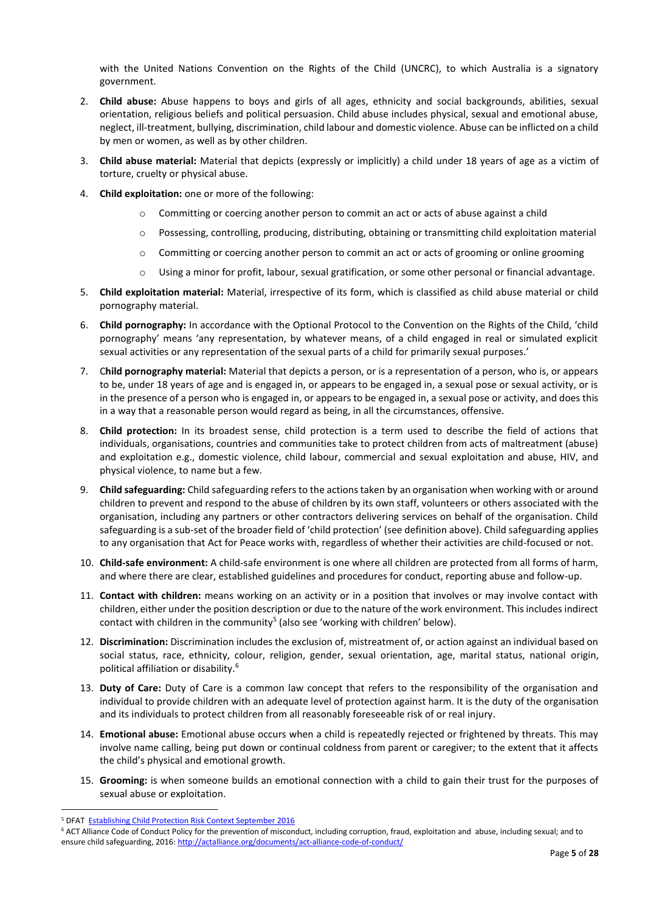with the United Nations Convention on the Rights of the Child (UNCRC), to which Australia is a signatory government.

- 2. **Child abuse:** Abuse happens to boys and girls of all ages, ethnicity and social backgrounds, abilities, sexual orientation, religious beliefs and political persuasion. Child abuse includes physical, sexual and emotional abuse, neglect, ill-treatment, bullying, discrimination, child labour and domestic violence. Abuse can be inflicted on a child by men or women, as well as by other children.
- 3. **Child abuse material:** Material that depicts (expressly or implicitly) a child under 18 years of age as a victim of torture, cruelty or physical abuse.
- 4. **Child exploitation:** one or more of the following:
	- o Committing or coercing another person to commit an act or acts of abuse against a child
	- o Possessing, controlling, producing, distributing, obtaining or transmitting child exploitation material
	- o Committing or coercing another person to commit an act or acts of grooming or online grooming
	- o Using a minor for profit, labour, sexual gratification, or some other personal or financial advantage.
- 5. **Child exploitation material:** Material, irrespective of its form, which is classified as child abuse material or child pornography material.
- 6. **Child pornography:** In accordance with the Optional Protocol to the Convention on the Rights of the Child, 'child pornography' means 'any representation, by whatever means, of a child engaged in real or simulated explicit sexual activities or any representation of the sexual parts of a child for primarily sexual purposes.'
- 7. C**hild pornography material:** Material that depicts a person, or is a representation of a person, who is, or appears to be, under 18 years of age and is engaged in, or appears to be engaged in, a sexual pose or sexual activity, or is in the presence of a person who is engaged in, or appears to be engaged in, a sexual pose or activity, and does this in a way that a reasonable person would regard as being, in all the circumstances, offensive.
- 8. **Child protection:** In its broadest sense, child protection is a term used to describe the field of actions that individuals, organisations, countries and communities take to protect children from acts of maltreatment (abuse) and exploitation e.g., domestic violence, child labour, commercial and sexual exploitation and abuse, HIV, and physical violence, to name but a few.
- 9. **Child safeguarding:** Child safeguarding refers to the actions taken by an organisation when working with or around children to prevent and respond to the abuse of children by its own staff, volunteers or others associated with the organisation, including any partners or other contractors delivering services on behalf of the organisation. Child safeguarding is a sub-set of the broader field of 'child protection' (see definition above). Child safeguarding applies to any organisation that Act for Peace works with, regardless of whether their activities are child-focused or not.
- 10. **Child-safe environment:** A child-safe environment is one where all children are protected from all forms of harm, and where there are clear, established guidelines and procedures for conduct, reporting abuse and follow-up.
- 11. **Contact with children:** means working on an activity or in a position that involves or may involve contact with children, either under the position description or due to the nature of the work environment. This includes indirect contact with children in the community<sup>5</sup> (also see 'working with children' below).
- 12. **Discrimination:** Discrimination includes the exclusion of, mistreatment of, or action against an individual based on social status, race, ethnicity, colour, religion, gender, sexual orientation, age, marital status, national origin, political affiliation or disability.<sup>6</sup>
- 13. **Duty of Care:** Duty of Care is a common law concept that refers to the responsibility of the organisation and individual to provide children with an adequate level of protection against harm. It is the duty of the organisation and its individuals to protect children from all reasonably foreseeable risk of or real injury.
- 14. **Emotional abuse:** Emotional abuse occurs when a child is repeatedly rejected or frightened by threats. This may involve name calling, being put down or continual coldness from parent or caregiver; to the extent that it affects the child's physical and emotional growth.
- 15. **Grooming:** is when someone builds an emotional connection with a child to gain their trust for the purposes of sexual abuse or exploitation.

<sup>5</sup> DFAT [Establishing Child Protection Risk Context September 2016](http://dfat.gov.au/about-us/publications/Pages/child-protection-policy.aspx)

<sup>&</sup>lt;sup>6</sup> ACT Alliance Code of Conduct Policy for the prevention of misconduct, including corruption, fraud, exploitation and abuse, including sexual; and to ensure child safeguarding, 2016[: http://actalliance.org/documents/act-alliance-code-of-conduct/](http://actalliance.org/documents/act-alliance-code-of-conduct/)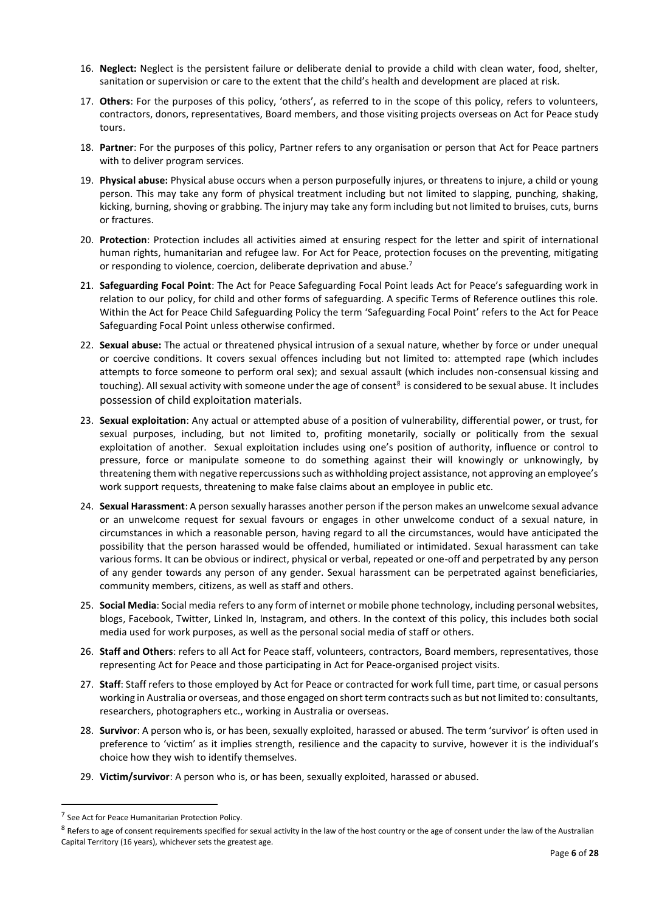- 16. **Neglect:** Neglect is the persistent failure or deliberate denial to provide a child with clean water, food, shelter, sanitation or supervision or care to the extent that the child's health and development are placed at risk.
- 17. **Others**: For the purposes of this policy, 'others', as referred to in the scope of this policy, refers to volunteers, contractors, donors, representatives, Board members, and those visiting projects overseas on Act for Peace study tours.
- 18. **Partner**: For the purposes of this policy, Partner refers to any organisation or person that Act for Peace partners with to deliver program services.
- 19. **Physical abuse:** Physical abuse occurs when a person purposefully injures, or threatens to injure, a child or young person. This may take any form of physical treatment including but not limited to slapping, punching, shaking, kicking, burning, shoving or grabbing. The injury may take any form including but not limited to bruises, cuts, burns or fractures.
- 20. **Protection**: Protection includes all activities aimed at ensuring respect for the letter and spirit of international human rights, humanitarian and refugee law. For Act for Peace, protection focuses on the preventing, mitigating or responding to violence, coercion, deliberate deprivation and abuse.<sup>7</sup>
- 21. **Safeguarding Focal Point**: The Act for Peace Safeguarding Focal Point leads Act for Peace's safeguarding work in relation to our policy, for child and other forms of safeguarding. A specific Terms of Reference outlines this role. Within the Act for Peace Child Safeguarding Policy the term 'Safeguarding Focal Point' refers to the Act for Peace Safeguarding Focal Point unless otherwise confirmed.
- 22. **Sexual abuse:** The actual or threatened physical intrusion of a sexual nature, whether by force or under unequal or coercive conditions. It covers sexual offences including but not limited to: attempted rape (which includes attempts to force someone to perform oral sex); and sexual assault (which includes non-consensual kissing and touching). All sexual activity with someone under the age of consent<sup>8</sup> is considered to be sexual abuse. It includes possession of child exploitation materials.
- 23. **Sexual exploitation**: Any actual or attempted abuse of a position of vulnerability, differential power, or trust, for sexual purposes, including, but not limited to, profiting monetarily, socially or politically from the sexual exploitation of another. Sexual exploitation includes using one's position of authority, influence or control to pressure, force or manipulate someone to do something against their will knowingly or unknowingly, by threatening them with negative repercussions such as withholding project assistance, not approving an employee's work support requests, threatening to make false claims about an employee in public etc.
- 24. **Sexual Harassment**: A person sexually harasses another person if the person makes an unwelcome sexual advance or an unwelcome request for sexual favours or engages in other unwelcome conduct of a sexual nature, in circumstances in which a reasonable person, having regard to all the circumstances, would have anticipated the possibility that the person harassed would be offended, humiliated or intimidated. Sexual harassment can take various forms. It can be obvious or indirect, physical or verbal, repeated or one-off and perpetrated by any person of any gender towards any person of any gender. Sexual harassment can be perpetrated against beneficiaries, community members, citizens, as well as staff and others.
- 25. **Social Media**: Social media refers to any form of internet or mobile phone technology, including personal websites, blogs, Facebook, Twitter, Linked In, Instagram, and others. In the context of this policy, this includes both social media used for work purposes, as well as the personal social media of staff or others.
- 26. **Staff and Others**: refers to all Act for Peace staff, volunteers, contractors, Board members, representatives, those representing Act for Peace and those participating in Act for Peace-organised project visits.
- 27. **Staff**: Staff refers to those employed by Act for Peace or contracted for work full time, part time, or casual persons working in Australia or overseas, and those engaged on short term contracts such as but not limited to: consultants, researchers, photographers etc., working in Australia or overseas.
- 28. **Survivor**: A person who is, or has been, sexually exploited, harassed or abused. The term 'survivor' is often used in preference to 'victim' as it implies strength, resilience and the capacity to survive, however it is the individual's choice how they wish to identify themselves.
- 29. **Victim/survivor**: A person who is, or has been, sexually exploited, harassed or abused.

<sup>&</sup>lt;sup>7</sup> See Act for Peace Humanitarian Protection Policy.

 $8$  Refers to age of consent requirements specified for sexual activity in the law of the host country or the age of consent under the law of the Australian Capital Territory (16 years), whichever sets the greatest age.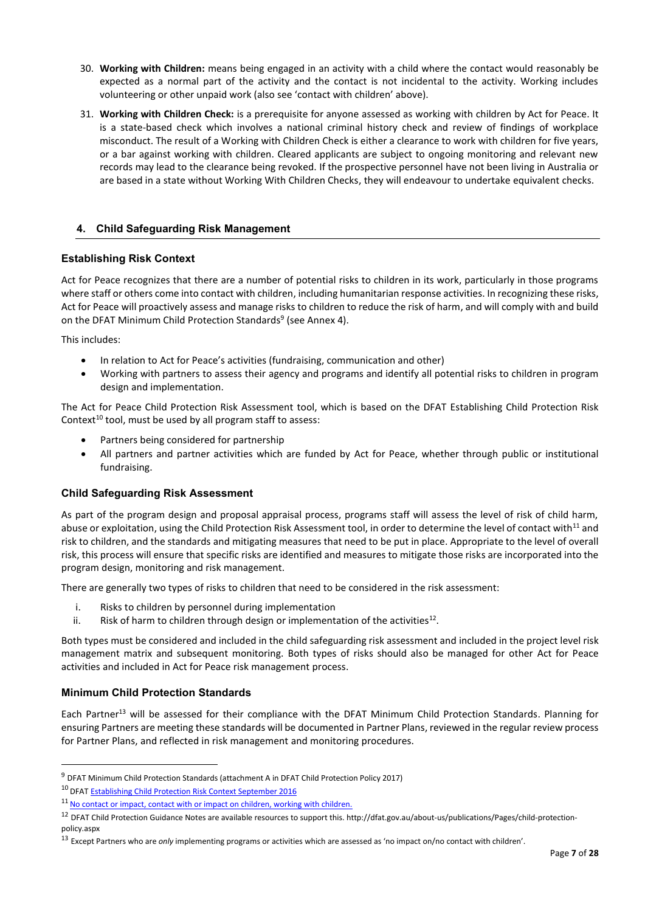- 30. **Working with Children:** means being engaged in an activity with a child where the contact would reasonably be expected as a normal part of the activity and the contact is not incidental to the activity. Working includes volunteering or other unpaid work (also see 'contact with children' above).
- 31. **Working with Children Check:** is a prerequisite for anyone assessed as working with children by Act for Peace. It is a state-based check which involves a national criminal history check and review of findings of workplace misconduct. The result of a Working with Children Check is either a clearance to work with children for five years, or a bar against working with children. Cleared applicants are subject to ongoing monitoring and relevant new records may lead to the clearance being revoked. If the prospective personnel have not been living in Australia or are based in a state without Working With Children Checks, they will endeavour to undertake equivalent checks.

## <span id="page-6-0"></span>**4. Child Safeguarding Risk Management**

## <span id="page-6-1"></span>**Establishing Risk Context**

Act for Peace recognizes that there are a number of potential risks to children in its work, particularly in those programs where staff or others come into contact with children, including humanitarian response activities. In recognizing these risks, Act for Peace will proactively assess and manage risks to children to reduce the risk of harm, and will comply with and build on the DFAT Minimum Child Protection Standards<sup>9</sup> (see Annex 4).

This includes:

- In relation to Act for Peace's activities (fundraising, communication and other)
- Working with partners to assess their agency and programs and identify all potential risks to children in program design and implementation.

The Act for Peace Child Protection Risk Assessment tool, which is based on the DFAT Establishing Child Protection Risk Context<sup>10</sup> tool, must be used by all program staff to assess:

- Partners being considered for partnership
- All partners and partner activities which are funded by Act for Peace, whether through public or institutional fundraising.

#### <span id="page-6-2"></span>**Child Safeguarding Risk Assessment**

As part of the program design and proposal appraisal process, programs staff will assess the level of risk of child harm, abuse or exploitation, using the Child Protection Risk Assessment tool, in order to determine the level of contact with<sup>11</sup> and risk to children, and the standards and mitigating measures that need to be put in place. Appropriate to the level of overall risk, this process will ensure that specific risks are identified and measures to mitigate those risks are incorporated into the program design, monitoring and risk management.

There are generally two types of risks to children that need to be considered in the risk assessment:

- i. Risks to children by personnel during implementation
- ii. Risk of harm to children through design or implementation of the activities<sup>12</sup>.

Both types must be considered and included in the child safeguarding risk assessment and included in the project level risk management matrix and subsequent monitoring. Both types of risks should also be managed for other Act for Peace activities and included in Act for Peace risk management process.

## <span id="page-6-3"></span>**Minimum Child Protection Standards**

Each Partner<sup>13</sup> will be assessed for their compliance with the DFAT Minimum Child Protection Standards. Planning for ensuring Partners are meeting these standards will be documented in Partner Plans, reviewed in the regular review process for Partner Plans, and reflected in risk management and monitoring procedures.

<sup>10</sup> DFA[T Establishing Child Protection Risk Context September 2016](http://dfat.gov.au/about-us/publications/Pages/child-protection-policy.aspx)

<sup>9</sup> DFAT Minimum Child Protection Standards (attachment A in DFAT Child Protection Policy 2017)

<sup>11</sup> No contact or impact, contact with or impact on children, working with children.

<sup>&</sup>lt;sup>12</sup> DFAT Child Protection Guidance Notes are available resources to support this[. http://dfat.gov.au/about-us/publications/Pages/child-protection](http://dfat.gov.au/about-us/publications/Pages/child-protection-policy.aspx)[policy.aspx](http://dfat.gov.au/about-us/publications/Pages/child-protection-policy.aspx)

<sup>13</sup> Except Partners who are *only* implementing programs or activities which are assessed as 'no impact on/no contact with children'.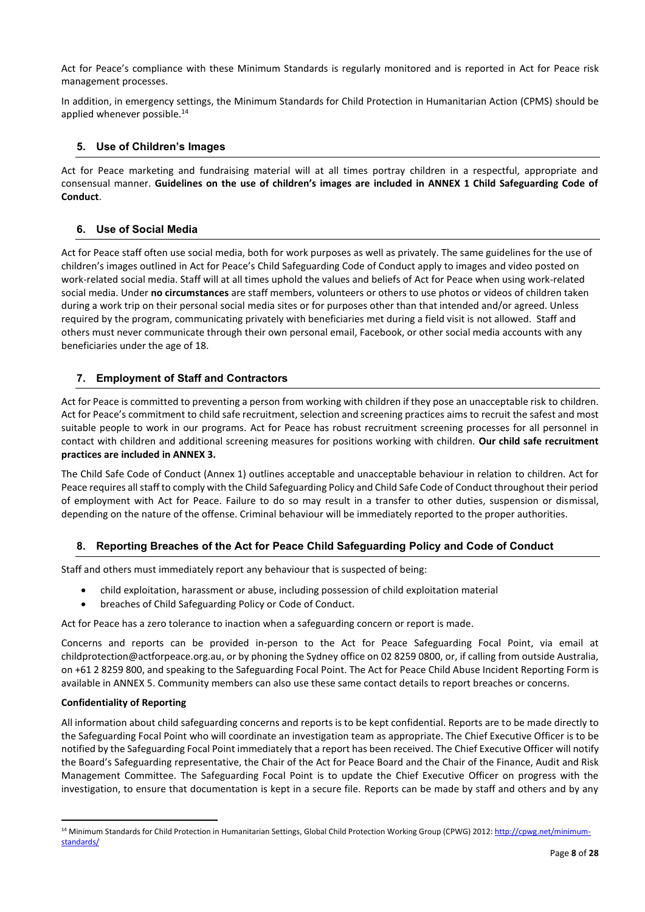Act for Peace's compliance with these Minimum Standards is regularly monitored and is reported in Act for Peace risk management processes.

In addition, in emergency settings, the Minimum Standards for Child Protection in Humanitarian Action (CPMS) should be applied whenever possible.<sup>14</sup>

## <span id="page-7-0"></span>**5. Use of Children's Images**

Act for Peace marketing and fundraising material will at all times portray children in a respectful, appropriate and consensual manner. **Guidelines on the use of children's images are included in ANNEX 1 Child Safeguarding Code of Conduct**.

#### <span id="page-7-1"></span>**6. Use of Social Media**

Act for Peace staff often use social media, both for work purposes as well as privately. The same guidelines for the use of children's images outlined in Act for Peace's Child Safeguarding Code of Conduct apply to images and video posted on work-related social media. Staff will at all times uphold the values and beliefs of Act for Peace when using work-related social media. Under **no circumstances** are staff members, volunteers or others to use photos or videos of children taken during a work trip on their personal social media sites or for purposes other than that intended and/or agreed. Unless required by the program, communicating privately with beneficiaries met during a field visit is not allowed. Staff and others must never communicate through their own personal email, Facebook, or other social media accounts with any beneficiaries under the age of 18.

#### <span id="page-7-2"></span>**7. Employment of Staff and Contractors**

Act for Peace is committed to preventing a person from working with children if they pose an unacceptable risk to children. Act for Peace's commitment to child safe recruitment, selection and screening practices aims to recruit the safest and most suitable people to work in our programs. Act for Peace has robust recruitment screening processes for all personnel in contact with children and additional screening measures for positions working with children. **Our child safe recruitment practices are included in ANNEX 3.**

The Child Safe Code of Conduct (Annex 1) outlines acceptable and unacceptable behaviour in relation to children. Act for Peace requires all staff to comply with the Child Safeguarding Policy and Child Safe Code of Conduct throughout their period of employment with Act for Peace. Failure to do so may result in a transfer to other duties, suspension or dismissal, depending on the nature of the offense. Criminal behaviour will be immediately reported to the proper authorities.

## <span id="page-7-3"></span>**8. Reporting Breaches of the Act for Peace Child Safeguarding Policy and Code of Conduct**

Staff and others must immediately report any behaviour that is suspected of being:

- child exploitation, harassment or abuse, including possession of child exploitation material
- breaches of Child Safeguarding Policy or Code of Conduct.

Act for Peace has a zero tolerance to inaction when a safeguarding concern or report is made.

Concerns and reports can be provided in-person to the Act for Peace Safeguarding Focal Point, via email at [childprotection@actforpeace.org.au,](mailto:childprotection@actforpeace.org.au) or by phoning the Sydney office on 02 8259 0800, or, if calling from outside Australia, on +61 2 8259 800, and speaking to the Safeguarding Focal Point. The Act for Peace Child Abuse Incident Reporting Form is available in ANNEX 5. Community members can also use these same contact details to report breaches or concerns.

#### **Confidentiality of Reporting**

All information about child safeguarding concerns and reports is to be kept confidential. Reports are to be made directly to the Safeguarding Focal Point who will coordinate an investigation team as appropriate. The Chief Executive Officer is to be notified by the Safeguarding Focal Point immediately that a report has been received. The Chief Executive Officer will notify the Board's Safeguarding representative, the Chair of the Act for Peace Board and the Chair of the Finance, Audit and Risk Management Committee. The Safeguarding Focal Point is to update the Chief Executive Officer on progress with the investigation, to ensure that documentation is kept in a secure file. Reports can be made by staff and others and by any

<sup>&</sup>lt;sup>14</sup> Minimum Standards for Child Protection in Humanitarian Settings, Global Child Protection Working Group (CPWG) 2012[: http://cpwg.net/minimum](http://cpwg.net/minimum-standards/)[standards/](http://cpwg.net/minimum-standards/)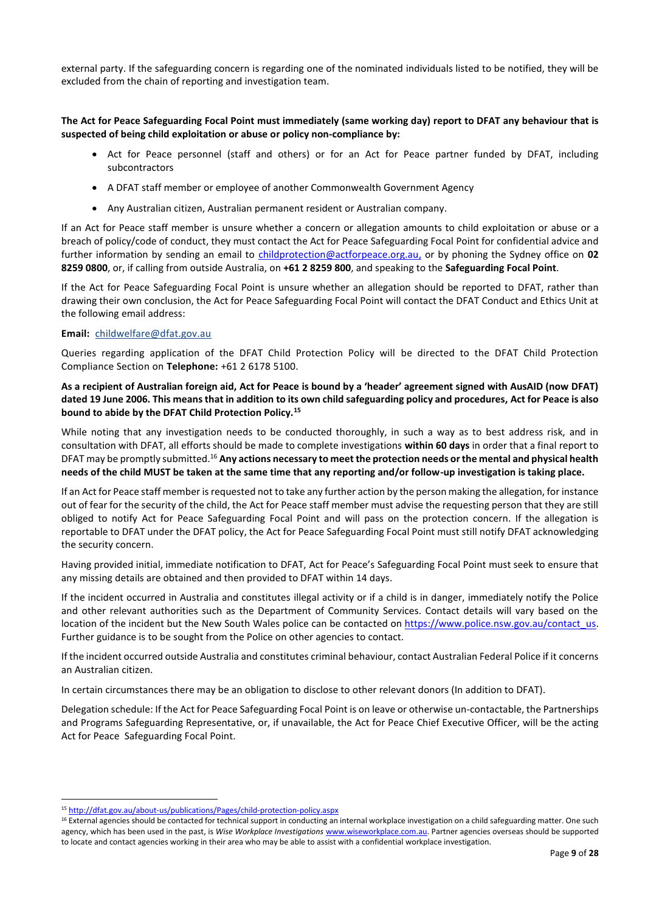external party. If the safeguarding concern is regarding one of the nominated individuals listed to be notified, they will be excluded from the chain of reporting and investigation team.

#### **The Act for Peace Safeguarding Focal Point must immediately (same working day) report to DFAT any behaviour that is suspected of being child exploitation or abuse or policy non-compliance by:**

- Act for Peace personnel (staff and others) or for an Act for Peace partner funded by DFAT, including subcontractors
- A DFAT staff member or employee of another Commonwealth Government Agency
- Any Australian citizen, Australian permanent resident or Australian company.

If an Act for Peace staff member is unsure whether a concern or allegation amounts to child exploitation or abuse or a breach of policy/code of conduct, they must contact the Act for Peace Safeguarding Focal Point for confidential advice and further information by sending an email to [childprotection@actforpeace.org.au,](mailto:childprotection@actforpeace.org.au) or by phoning the Sydney office on **02 8259 0800**, or, if calling from outside Australia, on **+61 2 8259 800**, and speaking to the **Safeguarding Focal Point**.

If the Act for Peace Safeguarding Focal Point is unsure whether an allegation should be reported to DFAT, rather than drawing their own conclusion, the Act for Peace Safeguarding Focal Point will contact the DFAT Conduct and Ethics Unit at the following email address:

#### **Email:** childwelfare@dfat.gov.au

Queries regarding application of the DFAT Child Protection Policy will be directed to the DFAT Child Protection Compliance Section on **Telephone:** +61 2 6178 5100.

#### **As a recipient of Australian foreign aid, Act for Peace is bound by a 'header' agreement signed with AusAID (now DFAT) dated 19 June 2006. This means that in addition to its own child safeguarding policy and procedures, Act for Peace is also bound to abide by the DFAT Child Protection Policy.<sup>15</sup>**

While noting that any investigation needs to be conducted thoroughly, in such a way as to best address risk, and in consultation with DFAT, all efforts should be made to complete investigations **within 60 days** in order that a final report to DFAT may be promptly submitted.<sup>16</sup> Any actions necessary to meet the protection needs or the mental and physical health **needs of the child MUST be taken at the same time that any reporting and/or follow-up investigation is taking place.**

If an Act for Peace staff member is requested not to take any further action by the person making the allegation, for instance out of fear for the security of the child, the Act for Peace staff member must advise the requesting person that they are still obliged to notify Act for Peace Safeguarding Focal Point and will pass on the protection concern. If the allegation is reportable to DFAT under the DFAT policy, the Act for Peace Safeguarding Focal Point must still notify DFAT acknowledging the security concern.

Having provided initial, immediate notification to DFAT, Act for Peace's Safeguarding Focal Point must seek to ensure that any missing details are obtained and then provided to DFAT within 14 days.

If the incident occurred in Australia and constitutes illegal activity or if a child is in danger, immediately notify the Police and other relevant authorities such as the Department of Community Services. Contact details will vary based on the location of the incident but the New South Wales police can be contacted o[n https://www.police.nsw.gov.au/contact\\_us.](https://www.police.nsw.gov.au/contact_us) Further guidance is to be sought from the Police on other agencies to contact.

If the incident occurred outside Australia and constitutes criminal behaviour, contact Australian Federal Police if it concerns an Australian citizen.

In certain circumstances there may be an obligation to disclose to other relevant donors (In addition to DFAT).

Delegation schedule: If the Act for Peace Safeguarding Focal Point is on leave or otherwise un-contactable, the Partnerships and Programs Safeguarding Representative, or, if unavailable, the Act for Peace Chief Executive Officer, will be the acting Act for Peace Safeguarding Focal Point.

<sup>15</sup> <http://dfat.gov.au/about-us/publications/Pages/child-protection-policy.aspx>

<sup>&</sup>lt;sup>16</sup> External agencies should be contacted for technical support in conducting an internal workplace investigation on a child safeguarding matter. One such agency, which has been used in the past, is *Wise Workplace Investigations* [www.wiseworkplace.com.au.](http://www.wiseworkplace.com.au/) Partner agencies overseas should be supported to locate and contact agencies working in their area who may be able to assist with a confidential workplace investigation.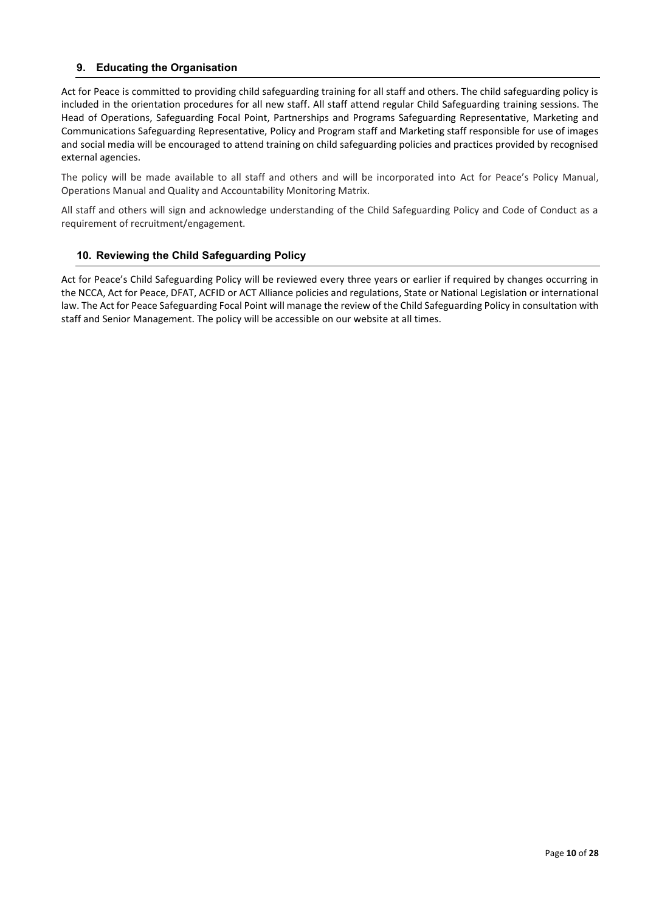## <span id="page-9-0"></span>**9. Educating the Organisation**

Act for Peace is committed to providing child safeguarding training for all staff and others. The child safeguarding policy is included in the orientation procedures for all new staff. All staff attend regular Child Safeguarding training sessions. The Head of Operations, Safeguarding Focal Point, Partnerships and Programs Safeguarding Representative, Marketing and Communications Safeguarding Representative, Policy and Program staff and Marketing staff responsible for use of images and social media will be encouraged to attend training on child safeguarding policies and practices provided by recognised external agencies.

The policy will be made available to all staff and others and will be incorporated into Act for Peace's Policy Manual, Operations Manual and Quality and Accountability Monitoring Matrix.

All staff and others will sign and acknowledge understanding of the Child Safeguarding Policy and Code of Conduct as a requirement of recruitment/engagement.

#### <span id="page-9-1"></span>**10. Reviewing the Child Safeguarding Policy**

Act for Peace's Child Safeguarding Policy will be reviewed every three years or earlier if required by changes occurring in the NCCA, Act for Peace, DFAT, ACFID or ACT Alliance policies and regulations, State or National Legislation or international law. The Act for Peace Safeguarding Focal Point will manage the review of the Child Safeguarding Policy in consultation with staff and Senior Management. The policy will be accessible on our website at all times.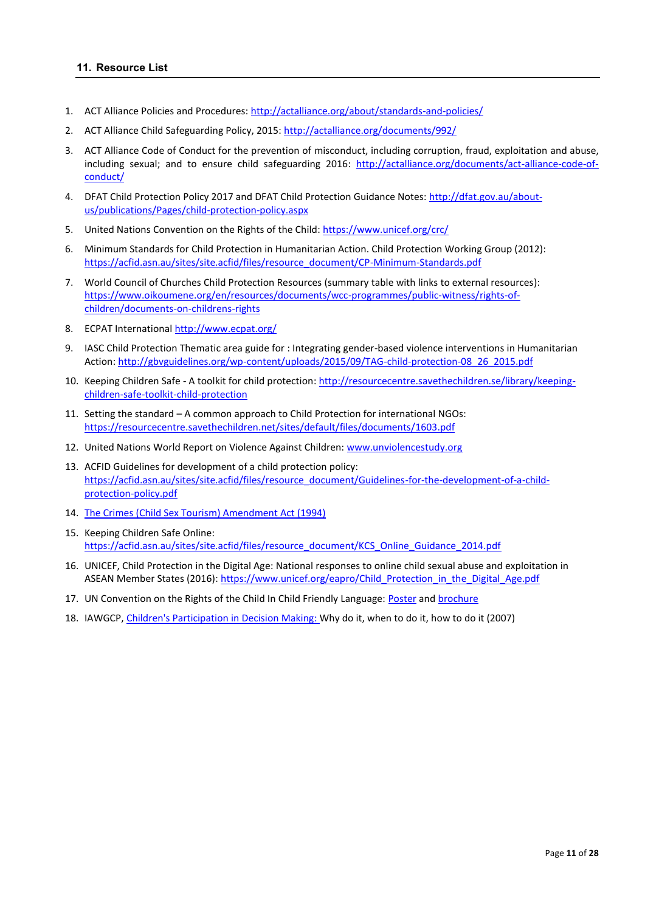- <span id="page-10-0"></span>1. ACT Alliance Policies and Procedures[: http://actalliance.org/about/standards-and-policies/](http://actalliance.org/about/standards-and-policies/)
- 2. ACT Alliance Child Safeguarding Policy, 2015:<http://actalliance.org/documents/992/>
- 3. ACT Alliance Code of Conduct for the prevention of misconduct, including corruption, fraud, exploitation and abuse, including sexual; and to ensure child safeguarding 2016: [http://actalliance.org/documents/act-alliance-code-of](http://actalliance.org/documents/act-alliance-code-of-conduct/)[conduct/](http://actalliance.org/documents/act-alliance-code-of-conduct/)
- 4. DFAT Child Protection Policy 2017 and DFAT Child Protection Guidance Notes: [http://dfat.gov.au/about](http://dfat.gov.au/about-us/publications/Pages/child-protection-policy.aspx)[us/publications/Pages/child-protection-policy.aspx](http://dfat.gov.au/about-us/publications/Pages/child-protection-policy.aspx)
- 5. United Nations Convention on the Rights of the Child:<https://www.unicef.org/crc/>
- 6. Minimum Standards for Child Protection in Humanitarian Action. Child Protection Working Group (2012): [https://acfid.asn.au/sites/site.acfid/files/resource\\_document/CP-Minimum-Standards.pdf](https://acfid.asn.au/sites/site.acfid/files/resource_document/CP-Minimum-Standards.pdf)
- 7. World Council of Churches Child Protection Resources (summary table with links to external resources): [https://www.oikoumene.org/en/resources/documents/wcc-programmes/public-witness/rights-of](https://www.oikoumene.org/en/resources/documents/wcc-programmes/public-witness/rights-of-children/documents-on-childrens-rights)[children/documents-on-childrens-rights](https://www.oikoumene.org/en/resources/documents/wcc-programmes/public-witness/rights-of-children/documents-on-childrens-rights)
- 8. ECPAT Internationa[l http://www.ecpat.org/](http://www.ecpat.org/)
- 9. IASC Child Protection Thematic area guide for : Integrating gender-based violence interventions in Humanitarian Action: [http://gbvguidelines.org/wp-content/uploads/2015/09/TAG-child-protection-08\\_26\\_2015.pdf](http://gbvguidelines.org/wp-content/uploads/2015/09/TAG-child-protection-08_26_2015.pdf)
- 10. Keeping Children Safe A toolkit for child protection[: http://resourcecentre.savethechildren.se/library/keeping](http://resourcecentre.savethechildren.se/library/keeping-children-safe-toolkit-child-protection)[children-safe-toolkit-child-protection](http://resourcecentre.savethechildren.se/library/keeping-children-safe-toolkit-child-protection)
- 11. Setting the standard A common approach to Child Protection for international NGOs: <https://resourcecentre.savethechildren.net/sites/default/files/documents/1603.pdf>
- 12. United Nations World Report on Violence Against Children: [www.unviolencestudy.org](http://www.unviolencestudy.org/)
- 13. ACFID Guidelines for development of a child protection policy: [https://acfid.asn.au/sites/site.acfid/files/resource\\_document/Guidelines-for-the-development-of-a-child](https://acfid.asn.au/sites/site.acfid/files/resource_document/Guidelines-for-the-development-of-a-child-protection-policy.pdf)[protection-policy.pdf](https://acfid.asn.au/sites/site.acfid/files/resource_document/Guidelines-for-the-development-of-a-child-protection-policy.pdf)
- 14. [The Crimes \(Child Sex Tourism\) Amendment Act \(1994\)](https://www.comlaw.gov.au/Details/C2004A04778)
- 15. Keeping Children Safe Online: [https://acfid.asn.au/sites/site.acfid/files/resource\\_document/KCS\\_Online\\_Guidance\\_2014.pdf](https://acfid.asn.au/sites/site.acfid/files/resource_document/KCS_Online_Guidance_2014.pdf)
- 16. UNICEF, Child Protection in the Digital Age: National responses to online child sexual abuse and exploitation in ASEAN Member States (2016): [https://www.unicef.org/eapro/Child\\_Protection\\_in\\_the\\_Digital\\_Age.pdf](https://www.unicef.org/eapro/Child_Protection_in_the_Digital_Age.pdf)
- 17. UN Convention on the Rights of the Child In Child Friendly Language: [Poster](https://www.unicef.org/rightsite/files/uncrcchilldfriendlylanguage.pdf) an[d brochure](https://www.unicef.org/magic/media/documents/what_rights_flyer_english.pdf)
- 18. IAWGCP, [Children's Participation in Decision Making:](https://acfid.asn.au/sites/site.acfid/files/resource_document/children_decision_making.pdf) Why do it, when to do it, how to do it (2007)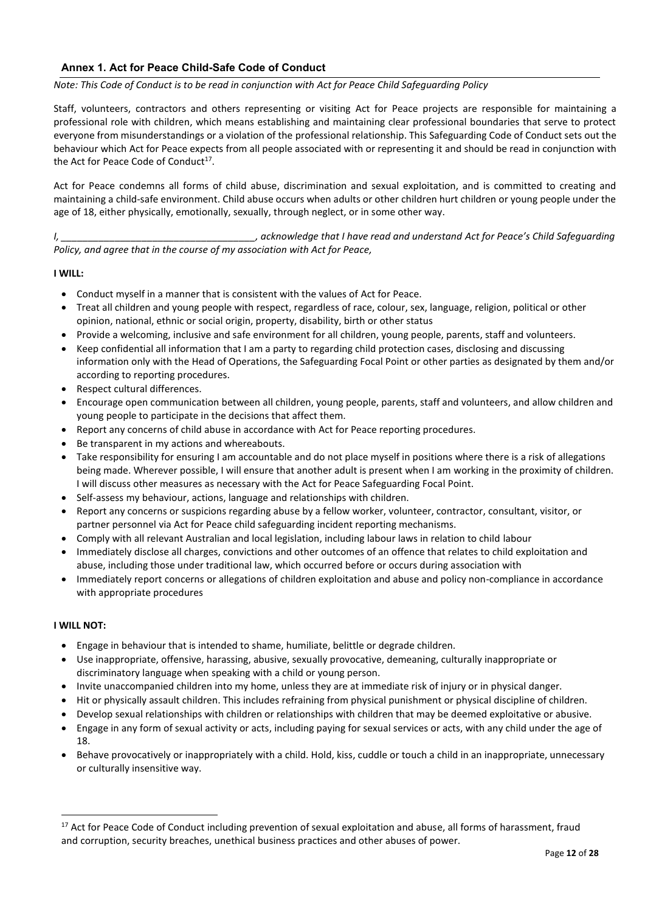## <span id="page-11-0"></span>**Annex 1. Act for Peace Child-Safe Code of Conduct**

#### *Note: This Code of Conduct is to be read in conjunction with Act for Peace Child Safeguarding Policy*

Staff, volunteers, contractors and others representing or visiting Act for Peace projects are responsible for maintaining a professional role with children, which means establishing and maintaining clear professional boundaries that serve to protect everyone from misunderstandings or a violation of the professional relationship. This Safeguarding Code of Conduct sets out the behaviour which Act for Peace expects from all people associated with or representing it and should be read in conjunction with the Act for Peace Code of Conduct<sup>17</sup>.

Act for Peace condemns all forms of child abuse, discrimination and sexual exploitation, and is committed to creating and maintaining a child-safe environment. Child abuse occurs when adults or other children hurt children or young people under the age of 18, either physically, emotionally, sexually, through neglect, or in some other way.

*I, \_\_\_\_\_\_\_\_\_\_\_\_\_\_\_\_\_\_\_\_\_\_\_\_\_\_\_\_\_\_\_\_\_\_\_\_, acknowledge that I have read and understand Act for Peace's Child Safeguarding Policy, and agree that in the course of my association with Act for Peace,* 

#### **I WILL:**

- Conduct myself in a manner that is consistent with the values of Act for Peace.
- Treat all children and young people with respect, regardless of race, colour, sex, language, religion, political or other opinion, national, ethnic or social origin, property, disability, birth or other status
- Provide a welcoming, inclusive and safe environment for all children, young people, parents, staff and volunteers.
- Keep confidential all information that I am a party to regarding child protection cases, disclosing and discussing information only with the Head of Operations, the Safeguarding Focal Point or other parties as designated by them and/or according to reporting procedures.
- Respect cultural differences.
- Encourage open communication between all children, young people, parents, staff and volunteers, and allow children and young people to participate in the decisions that affect them.
- Report any concerns of child abuse in accordance with Act for Peace reporting procedures.
- Be transparent in my actions and whereabouts.
- Take responsibility for ensuring I am accountable and do not place myself in positions where there is a risk of allegations being made. Wherever possible, I will ensure that another adult is present when I am working in the proximity of children. I will discuss other measures as necessary with the Act for Peace Safeguarding Focal Point.
- Self-assess my behaviour, actions, language and relationships with children.
- Report any concerns or suspicions regarding abuse by a fellow worker, volunteer, contractor, consultant, visitor, or partner personnel via Act for Peace child safeguarding incident reporting mechanisms.
- Comply with all relevant Australian and local legislation, including labour laws in relation to child labour
- Immediately disclose all charges, convictions and other outcomes of an offence that relates to child exploitation and abuse, including those under traditional law, which occurred before or occurs during association with
- Immediately report concerns or allegations of children exploitation and abuse and policy non-compliance in accordance with appropriate procedures

#### **I WILL NOT:**

- Engage in behaviour that is intended to shame, humiliate, belittle or degrade children.
- Use inappropriate, offensive, harassing, abusive, sexually provocative, demeaning, culturally inappropriate or discriminatory language when speaking with a child or young person.
- Invite unaccompanied children into my home, unless they are at immediate risk of injury or in physical danger.
- Hit or physically assault children. This includes refraining from physical punishment or physical discipline of children.
- Develop sexual relationships with children or relationships with children that may be deemed exploitative or abusive.
- Engage in any form of sexual activity or acts, including paying for sexual services or acts, with any child under the age of 18.
- Behave provocatively or inappropriately with a child. Hold, kiss, cuddle or touch a child in an inappropriate, unnecessary or culturally insensitive way.

<sup>&</sup>lt;sup>17</sup> Act for Peace Code of Conduct including prevention of sexual exploitation and abuse, all forms of harassment, fraud and corruption, security breaches, unethical business practices and other abuses of power.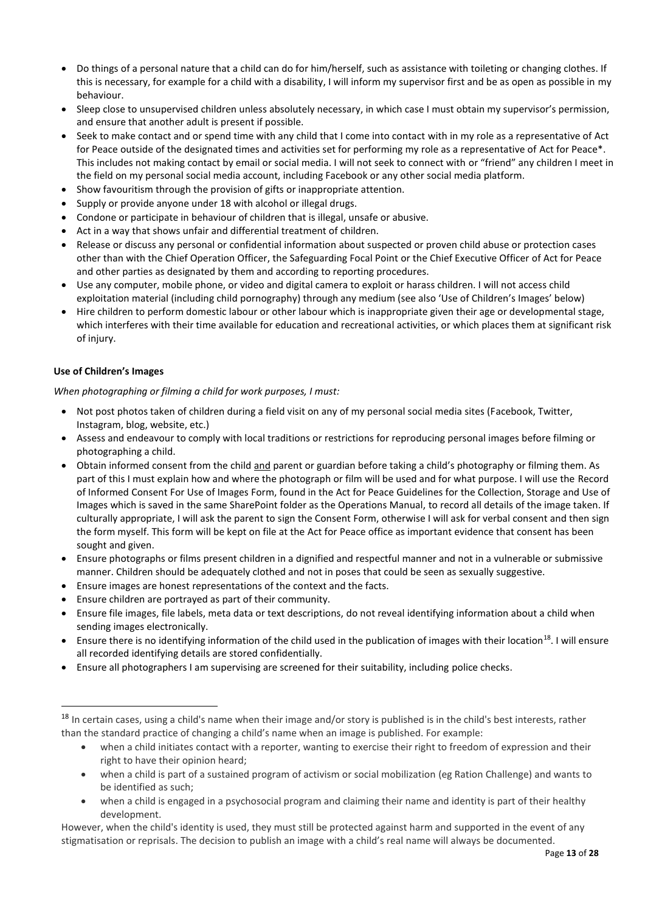- Do things of a personal nature that a child can do for him/herself, such as assistance with toileting or changing clothes. If this is necessary, for example for a child with a disability, I will inform my supervisor first and be as open as possible in my behaviour.
- Sleep close to unsupervised children unless absolutely necessary, in which case I must obtain my supervisor's permission, and ensure that another adult is present if possible.
- Seek to make contact and or spend time with any child that I come into contact with in my role as a representative of Act for Peace outside of the designated times and activities set for performing my role as a representative of Act for Peace\*. This includes not making contact by email or social media. I will not seek to connect with or "friend" any children I meet in the field on my personal social media account, including Facebook or any other social media platform.
- Show favouritism through the provision of gifts or inappropriate attention.
- Supply or provide anyone under 18 with alcohol or illegal drugs.
- Condone or participate in behaviour of children that is illegal, unsafe or abusive.
- Act in a way that shows unfair and differential treatment of children.
- Release or discuss any personal or confidential information about suspected or proven child abuse or protection cases other than with the Chief Operation Officer, the Safeguarding Focal Point or the Chief Executive Officer of Act for Peace and other parties as designated by them and according to reporting procedures.
- Use any computer, mobile phone, or video and digital camera to exploit or harass children. I will not access child exploitation material (including child pornography) through any medium (see also 'Use of Children's Images' below)
- Hire children to perform domestic labour or other labour which is inappropriate given their age or developmental stage, which interferes with their time available for education and recreational activities, or which places them at significant risk of injury.

## **Use of Children's Images**

*When photographing or filming a child for work purposes, I must:* 

- Not post photos taken of children during a field visit on any of my personal social media sites (Facebook, Twitter, Instagram, blog, website, etc.)
- Assess and endeavour to comply with local traditions or restrictions for reproducing personal images before filming or photographing a child.
- Obtain informed consent from the child and parent or guardian before taking a child's photography or filming them. As part of this I must explain how and where the photograph or film will be used and for what purpose. I will use the Record of Informed Consent For Use of Images Form, found in the Act for Peace Guidelines for the Collection, Storage and Use of Images which is saved in the same SharePoint folder as the Operations Manual, to record all details of the image taken. If culturally appropriate, I will ask the parent to sign the Consent Form, otherwise I will ask for verbal consent and then sign the form myself. This form will be kept on file at the Act for Peace office as important evidence that consent has been sought and given.
- Ensure photographs or films present children in a dignified and respectful manner and not in a vulnerable or submissive manner. Children should be adequately clothed and not in poses that could be seen as sexually suggestive.
- Ensure images are honest representations of the context and the facts.
- Ensure children are portrayed as part of their community.
- Ensure file images, file labels, meta data or text descriptions, do not reveal identifying information about a child when sending images electronically.
- Ensure there is no identifying information of the child used in the publication of images with their location<sup>18</sup>. I will ensure all recorded identifying details are stored confidentially.
- Ensure all photographers I am supervising are screened for their suitability, including police checks.

- when a child initiates contact with a reporter, wanting to exercise their right to freedom of expression and their right to have their opinion heard;
- when a child is part of a sustained program of activism or social mobilization (eg Ration Challenge) and wants to be identified as such;
- when a child is engaged in a psychosocial program and claiming their name and identity is part of their healthy development.

However, when the child's identity is used, they must still be protected against harm and supported in the event of any stigmatisation or reprisals. The decision to publish an image with a child's real name will always be documented.

<sup>&</sup>lt;sup>18</sup> In certain cases, using a child's name when their image and/or story is published is in the child's best interests, rather than the standard practice of changing a child's name when an image is published. For example: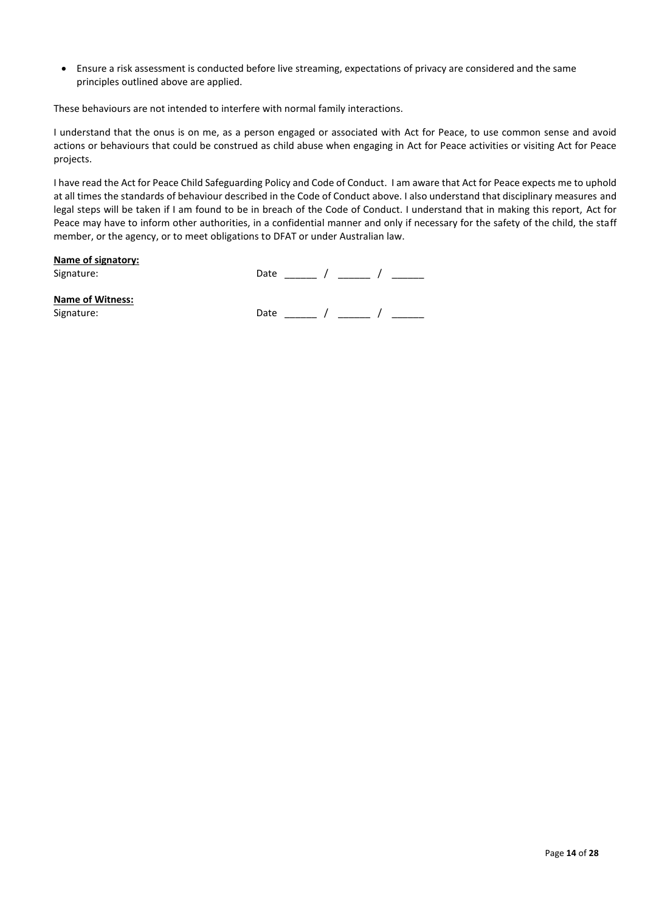• Ensure a risk assessment is conducted before live streaming, expectations of privacy are considered and the same principles outlined above are applied.

These behaviours are not intended to interfere with normal family interactions.

I understand that the onus is on me, as a person engaged or associated with Act for Peace, to use common sense and avoid actions or behaviours that could be construed as child abuse when engaging in Act for Peace activities or visiting Act for Peace projects.

I have read the Act for Peace Child Safeguarding Policy and Code of Conduct. I am aware that Act for Peace expects me to uphold at all times the standards of behaviour described in the Code of Conduct above. I also understand that disciplinary measures and legal steps will be taken if I am found to be in breach of the Code of Conduct. I understand that in making this report, Act for Peace may have to inform other authorities, in a confidential manner and only if necessary for the safety of the child, the staff member, or the agency, or to meet obligations to DFAT or under Australian law.

## **Name of signatory:**

Signature: Date \_\_\_\_\_ / \_\_\_\_\_ / \_\_\_\_\_\_

## **Name of Witness:**

Signature: Date \_\_\_\_\_\_ / \_\_\_\_\_ D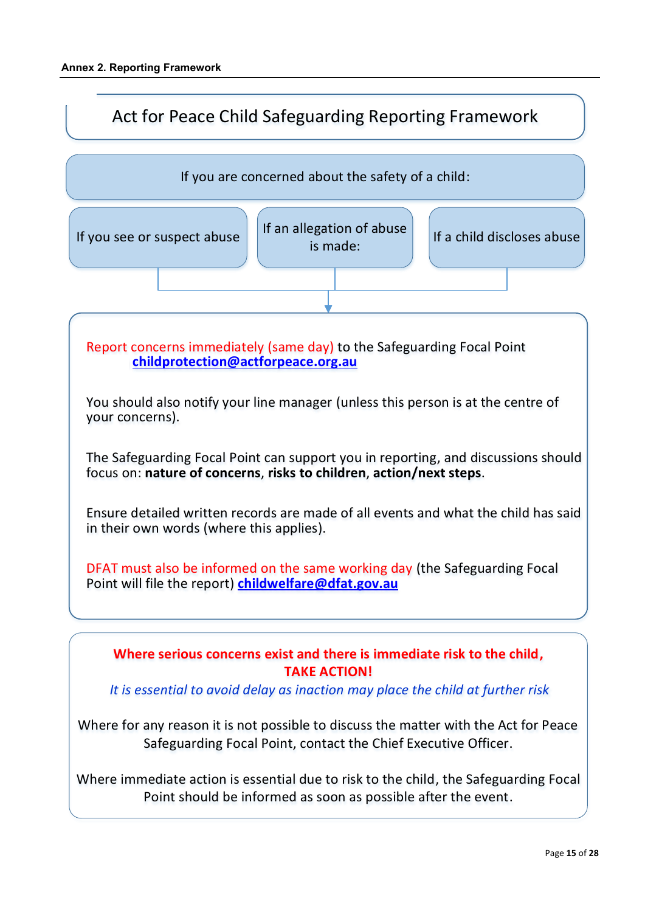<span id="page-14-0"></span>

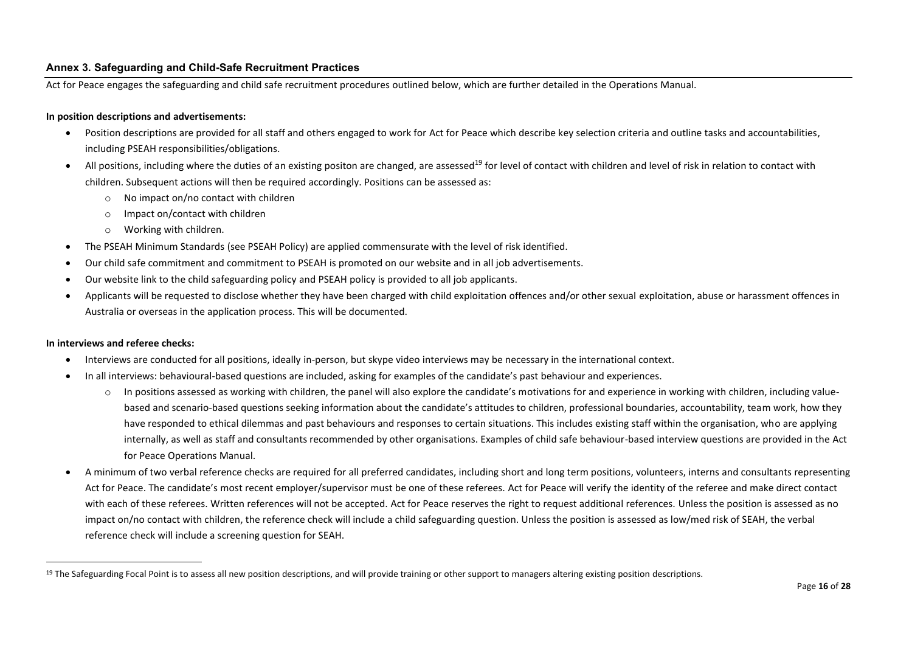#### **Annex 3. Safeguarding and Child-Safe Recruitment Practices**

Act for Peace engages the safeguarding and child safe recruitment procedures outlined below, which are further detailed in the Operations Manual.

#### **In position descriptions and advertisements:**

- Position descriptions are provided for all staff and others engaged to work for Act for Peace which describe key selection criteria and outline tasks and accountabilities, including PSEAH responsibilities/obligations.
- All positions, including where the duties of an existing positon are changed, are assessed<sup>19</sup> for level of contact with children and level of risk in relation to contact with children. Subsequent actions will then be required accordingly. Positions can be assessed as:
	- o No impact on/no contact with children
	- o Impact on/contact with children
	- o Working with children.
- The PSEAH Minimum Standards (see PSEAH Policy) are applied commensurate with the level of risk identified.
- Our child safe commitment and commitment to PSEAH is promoted on our website and in all job advertisements.
- Our website link to the child safeguarding policy and PSEAH policy is provided to all job applicants.
- Applicants will be requested to disclose whether they have been charged with child exploitation offences and/or other sexual exploitation, abuse or harassment offences in Australia or overseas in the application process. This will be documented.

#### <span id="page-15-0"></span>**In interviews and referee checks:**

- Interviews are conducted for all positions, ideally in-person, but skype video interviews may be necessary in the international context.
- In all interviews: behavioural-based questions are included, asking for examples of the candidate's past behaviour and experiences.
	- $\circ$  In positions assessed as working with children, the panel will also explore the candidate's motivations for and experience in working with children, including valuebased and scenario-based questions seeking information about the candidate's attitudes to children, professional boundaries, accountability, team work, how they have responded to ethical dilemmas and past behaviours and responses to certain situations. This includes existing staff within the organisation, who are applying internally, as well as staff and consultants recommended by other organisations. Examples of child safe behaviour-based interview questions are provided in the Act for Peace Operations Manual.
- A minimum of two verbal reference checks are required for all preferred candidates, including short and long term positions, volunteers, interns and consultants representing Act for Peace. The candidate's most recent employer/supervisor must be one of these referees. Act for Peace will verify the identity of the referee and make direct contact with each of these referees. Written references will not be accepted. Act for Peace reserves the right to request additional references. Unless the position is assessed as no impact on/no contact with children, the reference check will include a child safeguarding question. Unless the position is assessed as low/med risk of SEAH, the verbal reference check will include a screening question for SEAH.

 $19$  The Safeguarding Focal Point is to assess all new position descriptions, and will provide training or other support to managers altering existing position descriptions.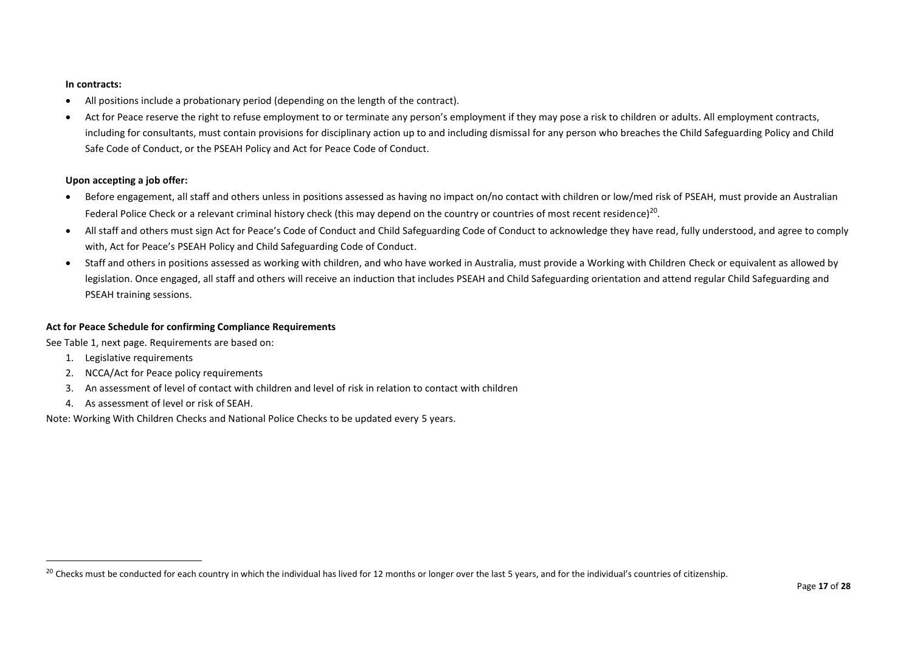#### **In contracts:**

- All positions include a probationary period (depending on the length of the contract).
- Act for Peace reserve the right to refuse employment to or terminate any person's employment if they may pose a risk to children or adults. All employment contracts, including for consultants, must contain provisions for disciplinary action up to and including dismissal for any person who breaches the Child Safeguarding Policy and Child Safe Code of Conduct, or the PSEAH Policy and Act for Peace Code of Conduct.

#### **Upon accepting a job offer:**

- Before engagement, all staff and others unless in positions assessed as having no impact on/no contact with children or low/med risk of PSEAH, must provide an Australian Federal Police Check or a relevant criminal history check (this may depend on the country or countries of most recent residence)<sup>20</sup>.
- All staff and others must sign Act for Peace's Code of Conduct and Child Safeguarding Code of Conduct to acknowledge they have read, fully understood, and agree to comply with, Act for Peace's PSEAH Policy and Child Safeguarding Code of Conduct.
- Staff and others in positions assessed as working with children, and who have worked in Australia, must provide a Working with Children Check or equivalent as allowed by legislation. Once engaged, all staff and others will receive an induction that includes PSEAH and Child Safeguarding orientation and attend regular Child Safeguarding and PSEAH training sessions.

#### **Act for Peace Schedule for confirming Compliance Requirements**

See Table 1, next page. Requirements are based on:

- 1. Legislative requirements
- 2. NCCA/Act for Peace policy requirements
- 3. An assessment of level of contact with children and level of risk in relation to contact with children
- 4. As assessment of level or risk of SEAH.

Note: Working With Children Checks and National Police Checks to be updated every 5 years.

<sup>&</sup>lt;sup>20</sup> Checks must be conducted for each country in which the individual has lived for 12 months or longer over the last 5 years, and for the individual's countries of citizenship.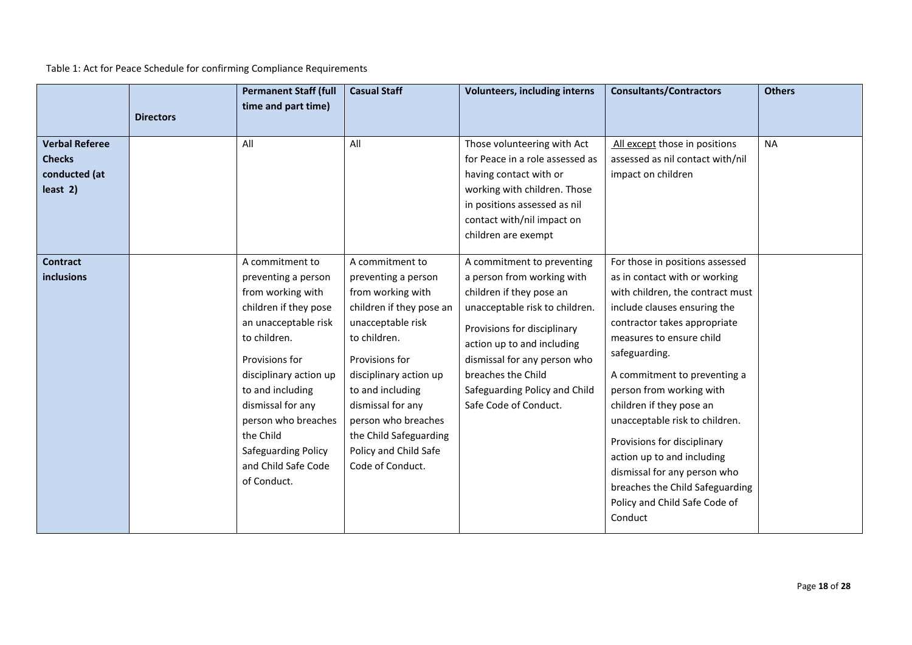Table 1: Act for Peace Schedule for confirming Compliance Requirements

|                                                                       | <b>Directors</b> | <b>Permanent Staff (full</b><br>time and part time)                                                                                                                                                                                                                                                                | <b>Casual Staff</b>                                                                                                                                                                                                                                                                                             | <b>Volunteers, including interns</b>                                                                                                                                                                                                                                                                | <b>Consultants/Contractors</b>                                                                                                                                                                                                                                                                                                                                                                                                                                                                                          | <b>Others</b> |
|-----------------------------------------------------------------------|------------------|--------------------------------------------------------------------------------------------------------------------------------------------------------------------------------------------------------------------------------------------------------------------------------------------------------------------|-----------------------------------------------------------------------------------------------------------------------------------------------------------------------------------------------------------------------------------------------------------------------------------------------------------------|-----------------------------------------------------------------------------------------------------------------------------------------------------------------------------------------------------------------------------------------------------------------------------------------------------|-------------------------------------------------------------------------------------------------------------------------------------------------------------------------------------------------------------------------------------------------------------------------------------------------------------------------------------------------------------------------------------------------------------------------------------------------------------------------------------------------------------------------|---------------|
| <b>Verbal Referee</b><br><b>Checks</b><br>conducted (at<br>$least$ 2) |                  | All                                                                                                                                                                                                                                                                                                                | All                                                                                                                                                                                                                                                                                                             | Those volunteering with Act<br>for Peace in a role assessed as<br>having contact with or<br>working with children. Those<br>in positions assessed as nil<br>contact with/nil impact on<br>children are exempt                                                                                       | All except those in positions<br>assessed as nil contact with/nil<br>impact on children                                                                                                                                                                                                                                                                                                                                                                                                                                 | <b>NA</b>     |
| <b>Contract</b><br><b>inclusions</b>                                  |                  | A commitment to<br>preventing a person<br>from working with<br>children if they pose<br>an unacceptable risk<br>to children.<br>Provisions for<br>disciplinary action up<br>to and including<br>dismissal for any<br>person who breaches<br>the Child<br>Safeguarding Policy<br>and Child Safe Code<br>of Conduct. | A commitment to<br>preventing a person<br>from working with<br>children if they pose an<br>unacceptable risk<br>to children.<br>Provisions for<br>disciplinary action up<br>to and including<br>dismissal for any<br>person who breaches<br>the Child Safeguarding<br>Policy and Child Safe<br>Code of Conduct. | A commitment to preventing<br>a person from working with<br>children if they pose an<br>unacceptable risk to children.<br>Provisions for disciplinary<br>action up to and including<br>dismissal for any person who<br>breaches the Child<br>Safeguarding Policy and Child<br>Safe Code of Conduct. | For those in positions assessed<br>as in contact with or working<br>with children, the contract must<br>include clauses ensuring the<br>contractor takes appropriate<br>measures to ensure child<br>safeguarding.<br>A commitment to preventing a<br>person from working with<br>children if they pose an<br>unacceptable risk to children.<br>Provisions for disciplinary<br>action up to and including<br>dismissal for any person who<br>breaches the Child Safeguarding<br>Policy and Child Safe Code of<br>Conduct |               |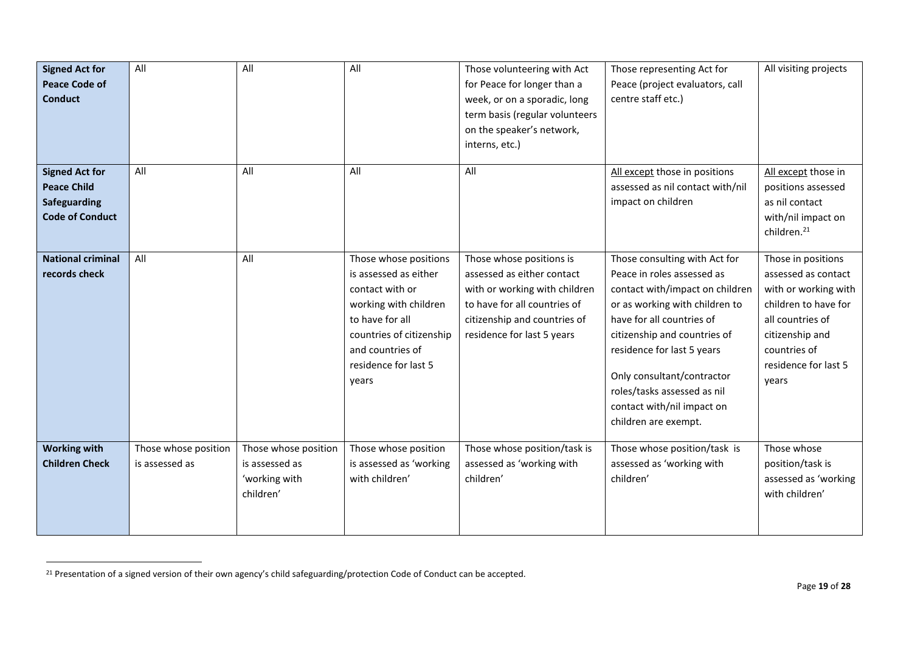| <b>Signed Act for</b><br><b>Peace Code of</b><br><b>Conduct</b>                       | All                                    | All                                                                  | All                                                                                                                                                                                            | Those volunteering with Act<br>for Peace for longer than a<br>week, or on a sporadic, long<br>term basis (regular volunteers<br>on the speaker's network,<br>interns, etc.)           | Those representing Act for<br>Peace (project evaluators, call<br>centre staff etc.)                                                                                                                                                                                                                                                            | All visiting projects                                                                                                                                                             |
|---------------------------------------------------------------------------------------|----------------------------------------|----------------------------------------------------------------------|------------------------------------------------------------------------------------------------------------------------------------------------------------------------------------------------|---------------------------------------------------------------------------------------------------------------------------------------------------------------------------------------|------------------------------------------------------------------------------------------------------------------------------------------------------------------------------------------------------------------------------------------------------------------------------------------------------------------------------------------------|-----------------------------------------------------------------------------------------------------------------------------------------------------------------------------------|
| <b>Signed Act for</b><br><b>Peace Child</b><br>Safeguarding<br><b>Code of Conduct</b> | All                                    | All                                                                  | All                                                                                                                                                                                            | All                                                                                                                                                                                   | All except those in positions<br>assessed as nil contact with/nil<br>impact on children                                                                                                                                                                                                                                                        | All except those in<br>positions assessed<br>as nil contact<br>with/nil impact on<br>children. <sup>21</sup>                                                                      |
| <b>National criminal</b><br>records check                                             | All                                    | All                                                                  | Those whose positions<br>is assessed as either<br>contact with or<br>working with children<br>to have for all<br>countries of citizenship<br>and countries of<br>residence for last 5<br>years | Those whose positions is<br>assessed as either contact<br>with or working with children<br>to have for all countries of<br>citizenship and countries of<br>residence for last 5 years | Those consulting with Act for<br>Peace in roles assessed as<br>contact with/impact on children<br>or as working with children to<br>have for all countries of<br>citizenship and countries of<br>residence for last 5 years<br>Only consultant/contractor<br>roles/tasks assessed as nil<br>contact with/nil impact on<br>children are exempt. | Those in positions<br>assessed as contact<br>with or working with<br>children to have for<br>all countries of<br>citizenship and<br>countries of<br>residence for last 5<br>years |
| <b>Working with</b><br><b>Children Check</b>                                          | Those whose position<br>is assessed as | Those whose position<br>is assessed as<br>'working with<br>children' | Those whose position<br>is assessed as 'working<br>with children'                                                                                                                              | Those whose position/task is<br>assessed as 'working with<br>children'                                                                                                                | Those whose position/task is<br>assessed as 'working with<br>children'                                                                                                                                                                                                                                                                         | Those whose<br>position/task is<br>assessed as 'working<br>with children'                                                                                                         |

<sup>&</sup>lt;sup>21</sup> Presentation of a signed version of their own agency's child safeguarding/protection Code of Conduct can be accepted.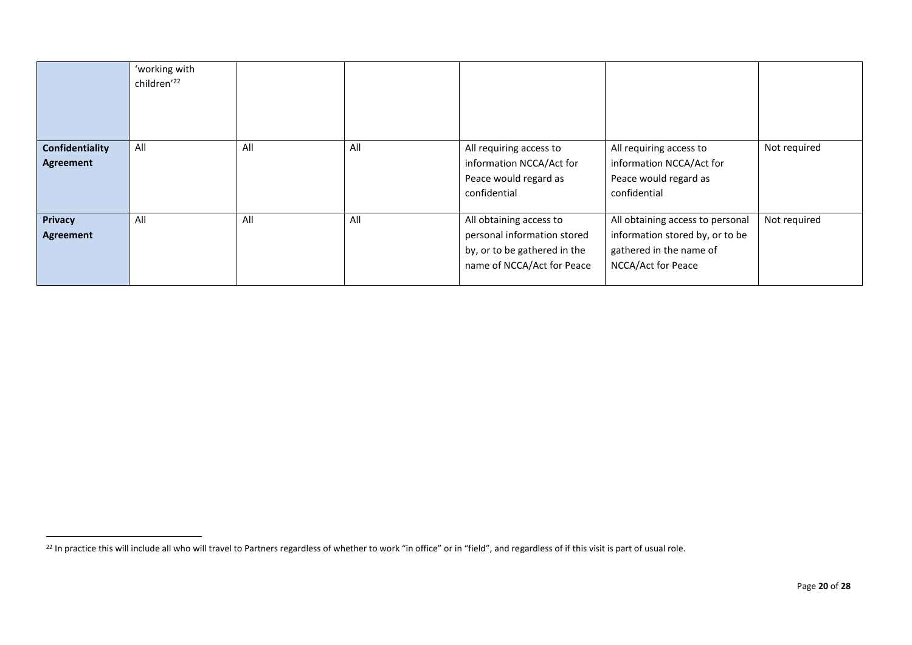|                                    | 'working with<br>children'22 |     |     |                                                                                                                      |                                                                                                                      |              |
|------------------------------------|------------------------------|-----|-----|----------------------------------------------------------------------------------------------------------------------|----------------------------------------------------------------------------------------------------------------------|--------------|
| Confidentiality<br>Agreement       | All                          | All | All | All requiring access to<br>information NCCA/Act for<br>Peace would regard as<br>confidential                         | All requiring access to<br>information NCCA/Act for<br>Peace would regard as<br>confidential                         | Not required |
| <b>Privacy</b><br><b>Agreement</b> | All                          | All | All | All obtaining access to<br>personal information stored<br>by, or to be gathered in the<br>name of NCCA/Act for Peace | All obtaining access to personal<br>information stored by, or to be<br>gathered in the name of<br>NCCA/Act for Peace | Not required |

<sup>&</sup>lt;sup>22</sup> In practice this will include all who will travel to Partners regardless of whether to work "in office" or in "field", and regardless of if this visit is part of usual role.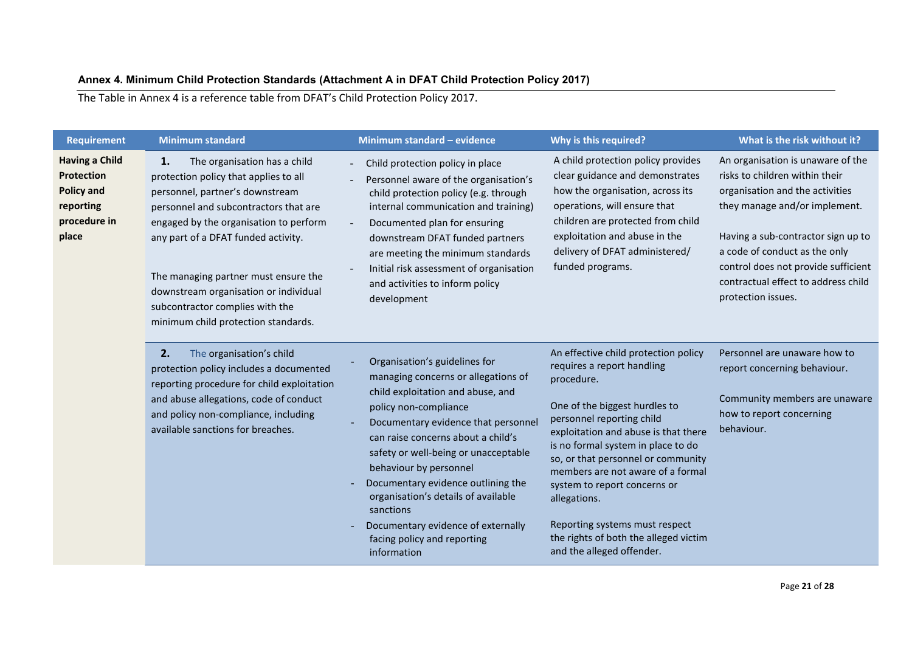## **Annex 4. Minimum Child Protection Standards (Attachment A in DFAT Child Protection Policy 2017)**

The Table in Annex 4 is a reference table from DFAT's Child Protection Policy 2017.

<span id="page-20-0"></span>

| <b>Requirement</b>                                                                             | <b>Minimum standard</b>                                                                                                                                                                                                                                                                                                                                                                             | Minimum standard - evidence                                                                                                                                                                                                                                                                                                                                                                                                                                     | Why is this required?                                                                                                                                                                                                                                                                                                                                                                                                                                           | What is the risk without it?                                                                                                                                                                                                                                                                                       |
|------------------------------------------------------------------------------------------------|-----------------------------------------------------------------------------------------------------------------------------------------------------------------------------------------------------------------------------------------------------------------------------------------------------------------------------------------------------------------------------------------------------|-----------------------------------------------------------------------------------------------------------------------------------------------------------------------------------------------------------------------------------------------------------------------------------------------------------------------------------------------------------------------------------------------------------------------------------------------------------------|-----------------------------------------------------------------------------------------------------------------------------------------------------------------------------------------------------------------------------------------------------------------------------------------------------------------------------------------------------------------------------------------------------------------------------------------------------------------|--------------------------------------------------------------------------------------------------------------------------------------------------------------------------------------------------------------------------------------------------------------------------------------------------------------------|
| <b>Having a Child</b><br>Protection<br><b>Policy and</b><br>reporting<br>procedure in<br>place | The organisation has a child<br>1.<br>protection policy that applies to all<br>personnel, partner's downstream<br>personnel and subcontractors that are<br>engaged by the organisation to perform<br>any part of a DFAT funded activity.<br>The managing partner must ensure the<br>downstream organisation or individual<br>subcontractor complies with the<br>minimum child protection standards. | Child protection policy in place<br>Personnel aware of the organisation's<br>child protection policy (e.g. through<br>internal communication and training)<br>Documented plan for ensuring<br>downstream DFAT funded partners<br>are meeting the minimum standards<br>Initial risk assessment of organisation<br>and activities to inform policy<br>development                                                                                                 | A child protection policy provides<br>clear guidance and demonstrates<br>how the organisation, across its<br>operations, will ensure that<br>children are protected from child<br>exploitation and abuse in the<br>delivery of DFAT administered/<br>funded programs.                                                                                                                                                                                           | An organisation is unaware of the<br>risks to children within their<br>organisation and the activities<br>they manage and/or implement.<br>Having a sub-contractor sign up to<br>a code of conduct as the only<br>control does not provide sufficient<br>contractual effect to address child<br>protection issues. |
|                                                                                                | 2.<br>The organisation's child<br>protection policy includes a documented<br>reporting procedure for child exploitation<br>and abuse allegations, code of conduct<br>and policy non-compliance, including<br>available sanctions for breaches.                                                                                                                                                      | Organisation's guidelines for<br>managing concerns or allegations of<br>child exploitation and abuse, and<br>policy non-compliance<br>Documentary evidence that personnel<br>can raise concerns about a child's<br>safety or well-being or unacceptable<br>behaviour by personnel<br>Documentary evidence outlining the<br>organisation's details of available<br>sanctions<br>Documentary evidence of externally<br>facing policy and reporting<br>information | An effective child protection policy<br>requires a report handling<br>procedure.<br>One of the biggest hurdles to<br>personnel reporting child<br>exploitation and abuse is that there<br>is no formal system in place to do<br>so, or that personnel or community<br>members are not aware of a formal<br>system to report concerns or<br>allegations.<br>Reporting systems must respect<br>the rights of both the alleged victim<br>and the alleged offender. | Personnel are unaware how to<br>report concerning behaviour.<br>Community members are unaware<br>how to report concerning<br>behaviour.                                                                                                                                                                            |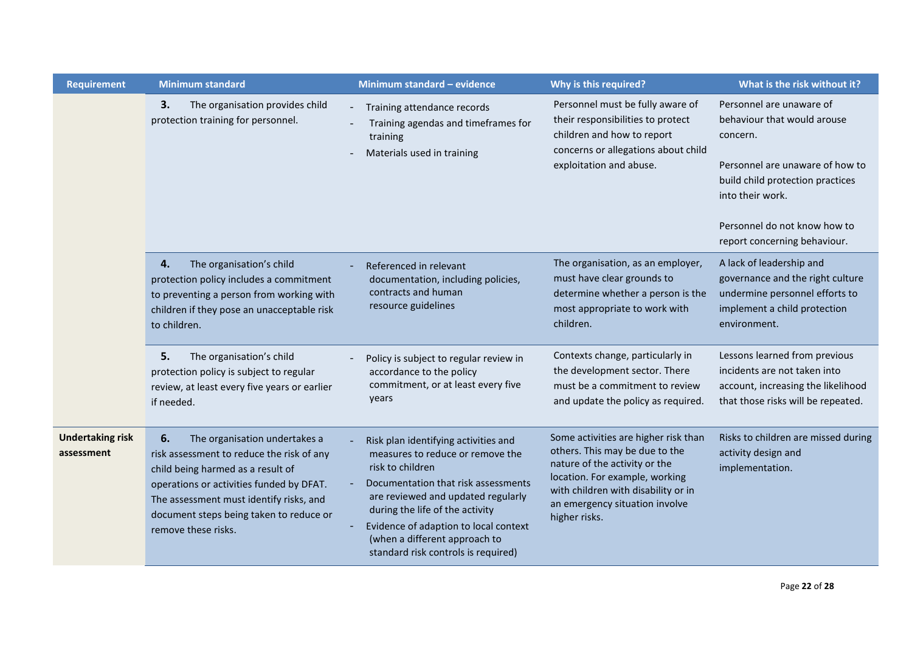| <b>Requirement</b>                    | <b>Minimum standard</b>                                                                                                                                                                                                                                                        | Minimum standard - evidence                                                                                                                                                                                                                                                                                                   | Why is this required?                                                                                                                                                                                                               | What is the risk without it?                                                                                                                                                                                                   |
|---------------------------------------|--------------------------------------------------------------------------------------------------------------------------------------------------------------------------------------------------------------------------------------------------------------------------------|-------------------------------------------------------------------------------------------------------------------------------------------------------------------------------------------------------------------------------------------------------------------------------------------------------------------------------|-------------------------------------------------------------------------------------------------------------------------------------------------------------------------------------------------------------------------------------|--------------------------------------------------------------------------------------------------------------------------------------------------------------------------------------------------------------------------------|
|                                       | 3.<br>The organisation provides child<br>protection training for personnel.                                                                                                                                                                                                    | Training attendance records<br>Training agendas and timeframes for<br>training<br>Materials used in training                                                                                                                                                                                                                  | Personnel must be fully aware of<br>their responsibilities to protect<br>children and how to report<br>concerns or allegations about child<br>exploitation and abuse.                                                               | Personnel are unaware of<br>behaviour that would arouse<br>concern.<br>Personnel are unaware of how to<br>build child protection practices<br>into their work.<br>Personnel do not know how to<br>report concerning behaviour. |
|                                       | The organisation's child<br>4.<br>protection policy includes a commitment<br>to preventing a person from working with<br>children if they pose an unacceptable risk<br>to children.                                                                                            | Referenced in relevant<br>documentation, including policies,<br>contracts and human<br>resource guidelines                                                                                                                                                                                                                    | The organisation, as an employer,<br>must have clear grounds to<br>determine whether a person is the<br>most appropriate to work with<br>children.                                                                                  | A lack of leadership and<br>governance and the right culture<br>undermine personnel efforts to<br>implement a child protection<br>environment.                                                                                 |
|                                       | 5.<br>The organisation's child<br>protection policy is subject to regular<br>review, at least every five years or earlier<br>if needed.                                                                                                                                        | Policy is subject to regular review in<br>accordance to the policy<br>commitment, or at least every five<br>years                                                                                                                                                                                                             | Contexts change, particularly in<br>the development sector. There<br>must be a commitment to review<br>and update the policy as required.                                                                                           | Lessons learned from previous<br>incidents are not taken into<br>account, increasing the likelihood<br>that those risks will be repeated.                                                                                      |
| <b>Undertaking risk</b><br>assessment | 6.<br>The organisation undertakes a<br>risk assessment to reduce the risk of any<br>child being harmed as a result of<br>operations or activities funded by DFAT.<br>The assessment must identify risks, and<br>document steps being taken to reduce or<br>remove these risks. | Risk plan identifying activities and<br>measures to reduce or remove the<br>risk to children<br>Documentation that risk assessments<br>are reviewed and updated regularly<br>during the life of the activity<br>Evidence of adaption to local context<br>(when a different approach to<br>standard risk controls is required) | Some activities are higher risk than<br>others. This may be due to the<br>nature of the activity or the<br>location. For example, working<br>with children with disability or in<br>an emergency situation involve<br>higher risks. | Risks to children are missed during<br>activity design and<br>implementation.                                                                                                                                                  |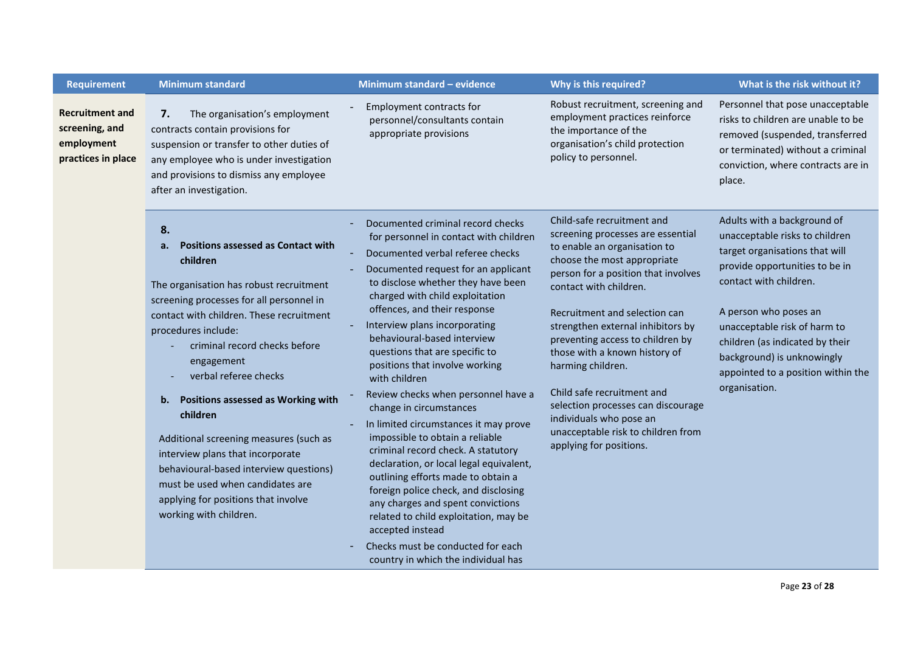| <b>Requirement</b>                                                    | <b>Minimum standard</b>                                                                                                                                                                                                                                                                                                                                                                                                                                                                                                                                                                         | Minimum standard - evidence                                                                                                                                                                                                                                                                                                                                                                                                                                                                                                                                                                                                                                                                                                                                                                                                                                                                                     | Why is this required?                                                                                                                                                                                                                                                                                                                                                                                                                                                                                                           | What is the risk without it?                                                                                                                                                                                                                                                                                                                 |
|-----------------------------------------------------------------------|-------------------------------------------------------------------------------------------------------------------------------------------------------------------------------------------------------------------------------------------------------------------------------------------------------------------------------------------------------------------------------------------------------------------------------------------------------------------------------------------------------------------------------------------------------------------------------------------------|-----------------------------------------------------------------------------------------------------------------------------------------------------------------------------------------------------------------------------------------------------------------------------------------------------------------------------------------------------------------------------------------------------------------------------------------------------------------------------------------------------------------------------------------------------------------------------------------------------------------------------------------------------------------------------------------------------------------------------------------------------------------------------------------------------------------------------------------------------------------------------------------------------------------|---------------------------------------------------------------------------------------------------------------------------------------------------------------------------------------------------------------------------------------------------------------------------------------------------------------------------------------------------------------------------------------------------------------------------------------------------------------------------------------------------------------------------------|----------------------------------------------------------------------------------------------------------------------------------------------------------------------------------------------------------------------------------------------------------------------------------------------------------------------------------------------|
| Recruitment and<br>screening, and<br>employment<br>practices in place | The organisation's employment<br>7.<br>contracts contain provisions for<br>suspension or transfer to other duties of<br>any employee who is under investigation<br>and provisions to dismiss any employee<br>after an investigation.                                                                                                                                                                                                                                                                                                                                                            | Employment contracts for<br>personnel/consultants contain<br>appropriate provisions                                                                                                                                                                                                                                                                                                                                                                                                                                                                                                                                                                                                                                                                                                                                                                                                                             | Robust recruitment, screening and<br>employment practices reinforce<br>the importance of the<br>organisation's child protection<br>policy to personnel.                                                                                                                                                                                                                                                                                                                                                                         | Personnel that pose unacceptable<br>risks to children are unable to be<br>removed (suspended, transferred<br>or terminated) without a criminal<br>conviction, where contracts are in<br>place.                                                                                                                                               |
|                                                                       | 8.<br><b>Positions assessed as Contact with</b><br>a.<br>children<br>The organisation has robust recruitment<br>screening processes for all personnel in<br>contact with children. These recruitment<br>procedures include:<br>criminal record checks before<br>engagement<br>verbal referee checks<br><b>Positions assessed as Working with</b><br>b.<br>children<br>Additional screening measures (such as<br>interview plans that incorporate<br>behavioural-based interview questions)<br>must be used when candidates are<br>applying for positions that involve<br>working with children. | Documented criminal record checks<br>for personnel in contact with children<br>Documented verbal referee checks<br>Documented request for an applicant<br>to disclose whether they have been<br>charged with child exploitation<br>offences, and their response<br>Interview plans incorporating<br>behavioural-based interview<br>questions that are specific to<br>positions that involve working<br>with children<br>Review checks when personnel have a<br>change in circumstances<br>In limited circumstances it may prove<br>impossible to obtain a reliable<br>criminal record check. A statutory<br>declaration, or local legal equivalent,<br>outlining efforts made to obtain a<br>foreign police check, and disclosing<br>any charges and spent convictions<br>related to child exploitation, may be<br>accepted instead<br>Checks must be conducted for each<br>country in which the individual has | Child-safe recruitment and<br>screening processes are essential<br>to enable an organisation to<br>choose the most appropriate<br>person for a position that involves<br>contact with children.<br>Recruitment and selection can<br>strengthen external inhibitors by<br>preventing access to children by<br>those with a known history of<br>harming children.<br>Child safe recruitment and<br>selection processes can discourage<br>individuals who pose an<br>unacceptable risk to children from<br>applying for positions. | Adults with a background of<br>unacceptable risks to children<br>target organisations that will<br>provide opportunities to be in<br>contact with children.<br>A person who poses an<br>unacceptable risk of harm to<br>children (as indicated by their<br>background) is unknowingly<br>appointed to a position within the<br>organisation. |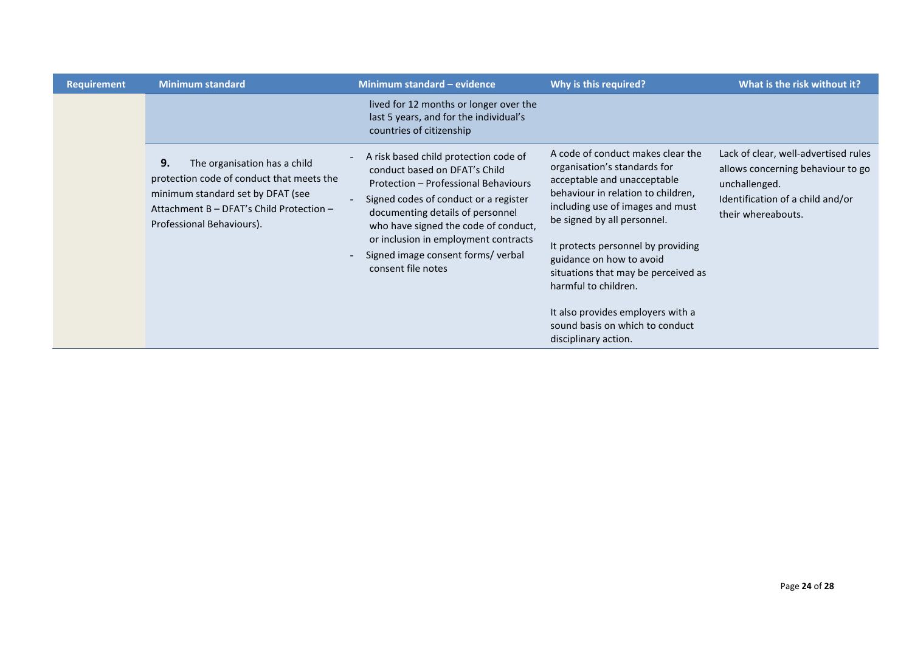| <b>Requirement</b> | <b>Minimum standard</b>                                                                                                                                                                       | Minimum standard - evidence                                                                                                                                                                                                                                                                                                             | Why is this required?                                                                                                                                                                                                                                                                                                                                                                                                                      | What is the risk without it?                                                                                                                         |
|--------------------|-----------------------------------------------------------------------------------------------------------------------------------------------------------------------------------------------|-----------------------------------------------------------------------------------------------------------------------------------------------------------------------------------------------------------------------------------------------------------------------------------------------------------------------------------------|--------------------------------------------------------------------------------------------------------------------------------------------------------------------------------------------------------------------------------------------------------------------------------------------------------------------------------------------------------------------------------------------------------------------------------------------|------------------------------------------------------------------------------------------------------------------------------------------------------|
|                    |                                                                                                                                                                                               | lived for 12 months or longer over the<br>last 5 years, and for the individual's<br>countries of citizenship                                                                                                                                                                                                                            |                                                                                                                                                                                                                                                                                                                                                                                                                                            |                                                                                                                                                      |
|                    | 9.<br>The organisation has a child<br>protection code of conduct that meets the<br>minimum standard set by DFAT (see<br>Attachment B - DFAT's Child Protection -<br>Professional Behaviours). | A risk based child protection code of<br>conduct based on DFAT's Child<br>Protection - Professional Behaviours<br>Signed codes of conduct or a register<br>documenting details of personnel<br>who have signed the code of conduct,<br>or inclusion in employment contracts<br>Signed image consent forms/ verbal<br>consent file notes | A code of conduct makes clear the<br>organisation's standards for<br>acceptable and unacceptable<br>behaviour in relation to children,<br>including use of images and must<br>be signed by all personnel.<br>It protects personnel by providing<br>guidance on how to avoid<br>situations that may be perceived as<br>harmful to children.<br>It also provides employers with a<br>sound basis on which to conduct<br>disciplinary action. | Lack of clear, well-advertised rules<br>allows concerning behaviour to go<br>unchallenged.<br>Identification of a child and/or<br>their whereabouts. |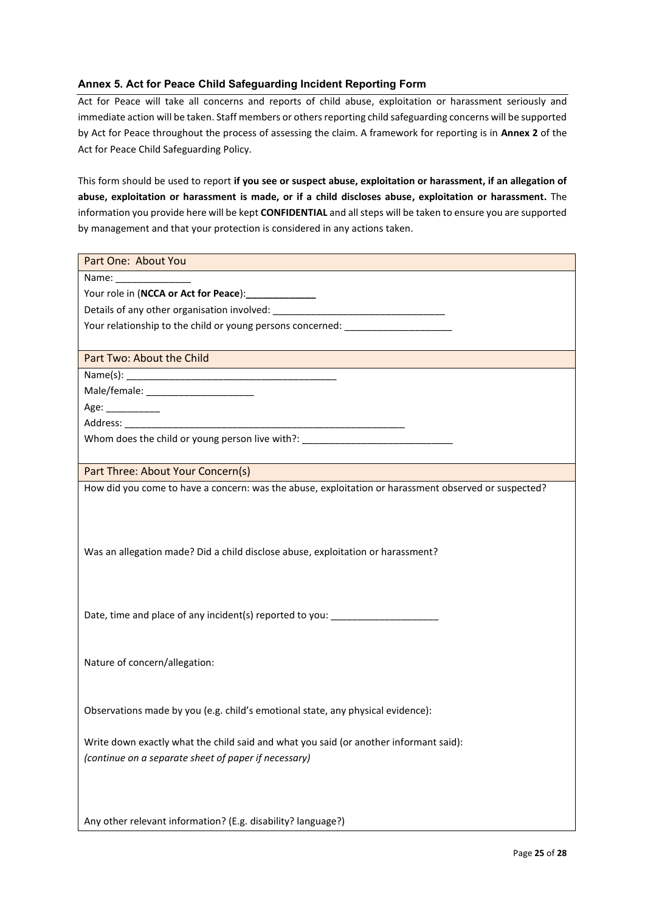#### <span id="page-24-0"></span>**Annex 5. Act for Peace Child Safeguarding Incident Reporting Form**

Act for Peace will take all concerns and reports of child abuse, exploitation or harassment seriously and immediate action will be taken. Staff members or others reporting child safeguarding concerns will be supported by Act for Peace throughout the process of assessing the claim. A framework for reporting is in **Annex 2** of the Act for Peace Child Safeguarding Policy.

This form should be used to report **if you see or suspect abuse, exploitation or harassment, if an allegation of abuse, exploitation or harassment is made, or if a child discloses abuse, exploitation or harassment.** The information you provide here will be kept **CONFIDENTIAL** and all steps will be taken to ensure you are supported by management and that your protection is considered in any actions taken.

| Part One: About You                                                                                  |
|------------------------------------------------------------------------------------------------------|
| Name: __________________                                                                             |
| Your role in (NCCA or Act for Peace): ______________                                                 |
|                                                                                                      |
| Your relationship to the child or young persons concerned: _____________________                     |
|                                                                                                      |
| Part Two: About the Child<br><u> 1989 - Johann Barn, amerikan berketara (h. 1989).</u>               |
|                                                                                                      |
|                                                                                                      |
| Age: __________                                                                                      |
|                                                                                                      |
| Whom does the child or young person live with?: ________________________________                     |
|                                                                                                      |
| Part Three: About Your Concern(s)                                                                    |
| How did you come to have a concern: was the abuse, exploitation or harassment observed or suspected? |
|                                                                                                      |
|                                                                                                      |
|                                                                                                      |
| Was an allegation made? Did a child disclose abuse, exploitation or harassment?                      |
|                                                                                                      |
|                                                                                                      |
|                                                                                                      |
| Date, time and place of any incident(s) reported to you: _______________________                     |
|                                                                                                      |
|                                                                                                      |
| Nature of concern/allegation:                                                                        |
|                                                                                                      |
|                                                                                                      |
| Observations made by you (e.g. child's emotional state, any physical evidence):                      |
|                                                                                                      |
| Write down exactly what the child said and what you said (or another informant said):                |
| (continue on a separate sheet of paper if necessary)                                                 |
|                                                                                                      |
|                                                                                                      |
|                                                                                                      |
| Any other relevant information? (E.g. disability? language?)                                         |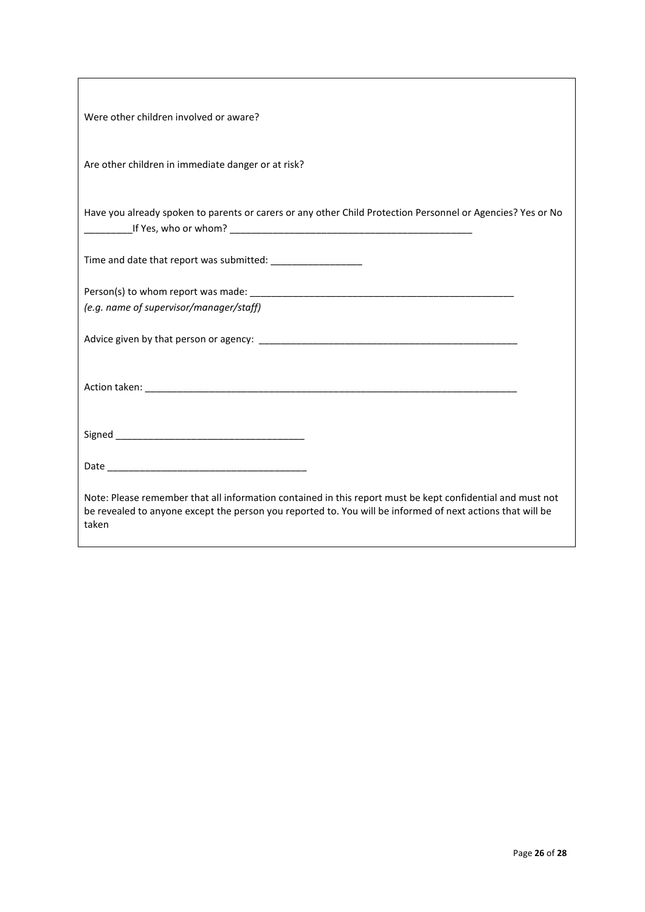| Were other children involved or aware?                                                                                                                                                                                            |
|-----------------------------------------------------------------------------------------------------------------------------------------------------------------------------------------------------------------------------------|
| Are other children in immediate danger or at risk?                                                                                                                                                                                |
| Have you already spoken to parents or carers or any other Child Protection Personnel or Agencies? Yes or No                                                                                                                       |
|                                                                                                                                                                                                                                   |
|                                                                                                                                                                                                                                   |
| (e.g. name of supervisor/manager/staff)                                                                                                                                                                                           |
|                                                                                                                                                                                                                                   |
|                                                                                                                                                                                                                                   |
|                                                                                                                                                                                                                                   |
|                                                                                                                                                                                                                                   |
| Note: Please remember that all information contained in this report must be kept confidential and must not<br>be revealed to anyone except the person you reported to. You will be informed of next actions that will be<br>taken |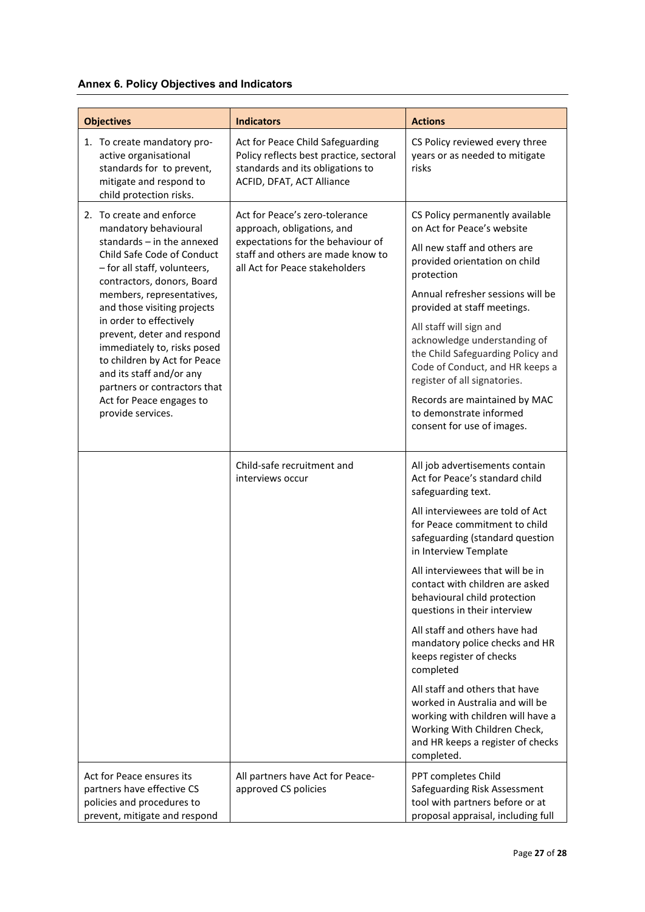## <span id="page-26-0"></span>**Annex 6. Policy Objectives and Indicators**

| <b>Objectives</b>                                                                                                                                                                                                                                                                                                                                                                                                                                                              | <b>Indicators</b>                                                                                                                                                        | <b>Actions</b>                                                                                                                                                                                                                                                                                                                                                                                                                                                                                                                                                                                                                                                          |
|--------------------------------------------------------------------------------------------------------------------------------------------------------------------------------------------------------------------------------------------------------------------------------------------------------------------------------------------------------------------------------------------------------------------------------------------------------------------------------|--------------------------------------------------------------------------------------------------------------------------------------------------------------------------|-------------------------------------------------------------------------------------------------------------------------------------------------------------------------------------------------------------------------------------------------------------------------------------------------------------------------------------------------------------------------------------------------------------------------------------------------------------------------------------------------------------------------------------------------------------------------------------------------------------------------------------------------------------------------|
| 1. To create mandatory pro-<br>active organisational<br>standards for to prevent,<br>mitigate and respond to<br>child protection risks.                                                                                                                                                                                                                                                                                                                                        | Act for Peace Child Safeguarding<br>Policy reflects best practice, sectoral<br>standards and its obligations to<br>ACFID, DFAT, ACT Alliance                             | CS Policy reviewed every three<br>years or as needed to mitigate<br>risks                                                                                                                                                                                                                                                                                                                                                                                                                                                                                                                                                                                               |
| 2. To create and enforce<br>mandatory behavioural<br>standards $-$ in the annexed<br>Child Safe Code of Conduct<br>- for all staff, volunteers,<br>contractors, donors, Board<br>members, representatives,<br>and those visiting projects<br>in order to effectively<br>prevent, deter and respond<br>immediately to, risks posed<br>to children by Act for Peace<br>and its staff and/or any<br>partners or contractors that<br>Act for Peace engages to<br>provide services. | Act for Peace's zero-tolerance<br>approach, obligations, and<br>expectations for the behaviour of<br>staff and others are made know to<br>all Act for Peace stakeholders | CS Policy permanently available<br>on Act for Peace's website<br>All new staff and others are<br>provided orientation on child<br>protection<br>Annual refresher sessions will be<br>provided at staff meetings.<br>All staff will sign and<br>acknowledge understanding of<br>the Child Safeguarding Policy and<br>Code of Conduct, and HR keeps a<br>register of all signatories.<br>Records are maintained by MAC<br>to demonstrate informed<br>consent for use of images.                                                                                                                                                                                           |
|                                                                                                                                                                                                                                                                                                                                                                                                                                                                                | Child-safe recruitment and<br>interviews occur                                                                                                                           | All job advertisements contain<br>Act for Peace's standard child<br>safeguarding text.<br>All interviewees are told of Act<br>for Peace commitment to child<br>safeguarding (standard question<br>in Interview Template<br>All interviewees that will be in<br>contact with children are asked<br>behavioural child protection<br>questions in their interview<br>All staff and others have had<br>mandatory police checks and HR<br>keeps register of checks<br>completed<br>All staff and others that have<br>worked in Australia and will be<br>working with children will have a<br>Working With Children Check,<br>and HR keeps a register of checks<br>completed. |
| Act for Peace ensures its<br>partners have effective CS<br>policies and procedures to<br>prevent, mitigate and respond                                                                                                                                                                                                                                                                                                                                                         | All partners have Act for Peace-<br>approved CS policies                                                                                                                 | PPT completes Child<br>Safeguarding Risk Assessment<br>tool with partners before or at<br>proposal appraisal, including full                                                                                                                                                                                                                                                                                                                                                                                                                                                                                                                                            |